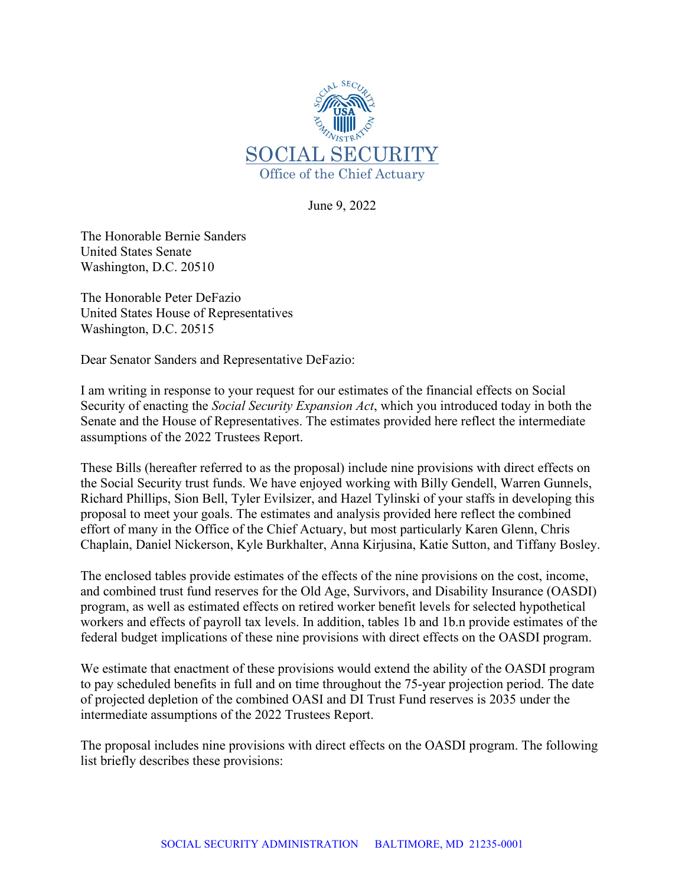

June 9, 2022

The Honorable Bernie Sanders United States Senate Washington, D.C. 20510

The Honorable Peter DeFazio United States House of Representatives Washington, D.C. 20515

Dear Senator Sanders and Representative DeFazio:

I am writing in response to your request for our estimates of the financial effects on Social Security of enacting the *Social Security Expansion Act*, which you introduced today in both the Senate and the House of Representatives. The estimates provided here reflect the intermediate assumptions of the 2022 Trustees Report.

These Bills (hereafter referred to as the proposal) include nine provisions with direct effects on the Social Security trust funds. We have enjoyed working with Billy Gendell, Warren Gunnels, Richard Phillips, Sion Bell, Tyler Evilsizer, and Hazel Tylinski of your staffs in developing this proposal to meet your goals. The estimates and analysis provided here reflect the combined effort of many in the Office of the Chief Actuary, but most particularly Karen Glenn, Chris Chaplain, Daniel Nickerson, Kyle Burkhalter, Anna Kirjusina, Katie Sutton, and Tiffany Bosley.

The enclosed tables provide estimates of the effects of the nine provisions on the cost, income, and combined trust fund reserves for the Old Age, Survivors, and Disability Insurance (OASDI) program, as well as estimated effects on retired worker benefit levels for selected hypothetical workers and effects of payroll tax levels. In addition, tables 1b and 1b.n provide estimates of the federal budget implications of these nine provisions with direct effects on the OASDI program.

We estimate that enactment of these provisions would extend the ability of the OASDI program to pay scheduled benefits in full and on time throughout the 75-year projection period. The date of projected depletion of the combined OASI and DI Trust Fund reserves is 2035 under the intermediate assumptions of the 2022 Trustees Report.

The proposal includes nine provisions with direct effects on the OASDI program. The following list briefly describes these provisions: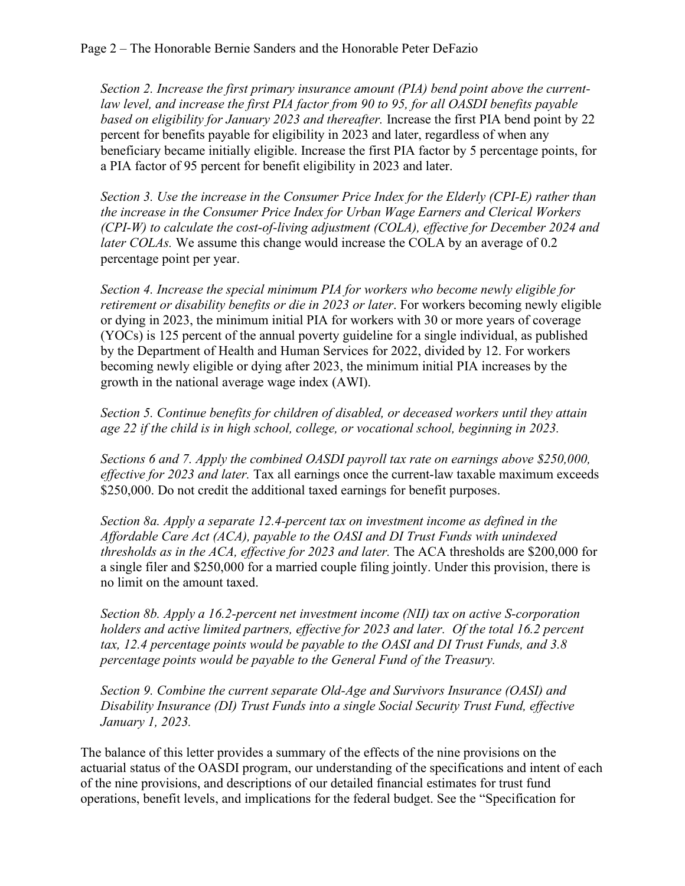*Section 2. Increase the first primary insurance amount (PIA) bend point above the currentlaw level, and increase the first PIA factor from 90 to 95, for all OASDI benefits payable based on eligibility for January 2023 and thereafter.* Increase the first PIA bend point by 22 percent for benefits payable for eligibility in 2023 and later, regardless of when any beneficiary became initially eligible. Increase the first PIA factor by 5 percentage points, for a PIA factor of 95 percent for benefit eligibility in 2023 and later.

*Section 3. Use the increase in the Consumer Price Index for the Elderly (CPI-E) rather than the increase in the Consumer Price Index for Urban Wage Earners and Clerical Workers (CPI-W) to calculate the cost-of-living adjustment (COLA), effective for December 2024 and later COLAs.* We assume this change would increase the COLA by an average of 0.2 percentage point per year.

*Section 4. Increase the special minimum PIA for workers who become newly eligible for retirement or disability benefits or die in 2023 or later*. For workers becoming newly eligible or dying in 2023, the minimum initial PIA for workers with 30 or more years of coverage (YOCs) is 125 percent of the annual poverty guideline for a single individual, as published by the Department of Health and Human Services for 2022, divided by 12. For workers becoming newly eligible or dying after 2023, the minimum initial PIA increases by the growth in the national average wage index (AWI).

*Section 5. Continue benefits for children of disabled, or deceased workers until they attain age 22 if the child is in high school, college, or vocational school, beginning in 2023.*

*Sections 6 and 7. Apply the combined OASDI payroll tax rate on earnings above \$250,000, effective for 2023 and later.* Tax all earnings once the current-law taxable maximum exceeds \$250,000. Do not credit the additional taxed earnings for benefit purposes.

*Section 8a. Apply a separate 12.4-percent tax on investment income as defined in the Affordable Care Act (ACA), payable to the OASI and DI Trust Funds with unindexed thresholds as in the ACA, effective for 2023 and later.* The ACA thresholds are \$200,000 for a single filer and \$250,000 for a married couple filing jointly. Under this provision, there is no limit on the amount taxed.

*Section 8b. Apply a 16.2-percent net investment income (NII) tax on active S-corporation holders and active limited partners, effective for 2023 and later. Of the total 16.2 percent tax, 12.4 percentage points would be payable to the OASI and DI Trust Funds, and 3.8 percentage points would be payable to the General Fund of the Treasury.* 

*Section 9. Combine the current separate Old-Age and Survivors Insurance (OASI) and Disability Insurance (DI) Trust Funds into a single Social Security Trust Fund, effective January 1, 2023.* 

The balance of this letter provides a summary of the effects of the nine provisions on the actuarial status of the OASDI program, our understanding of the specifications and intent of each of the nine provisions, and descriptions of our detailed financial estimates for trust fund operations, benefit levels, and implications for the federal budget. See the "Specification for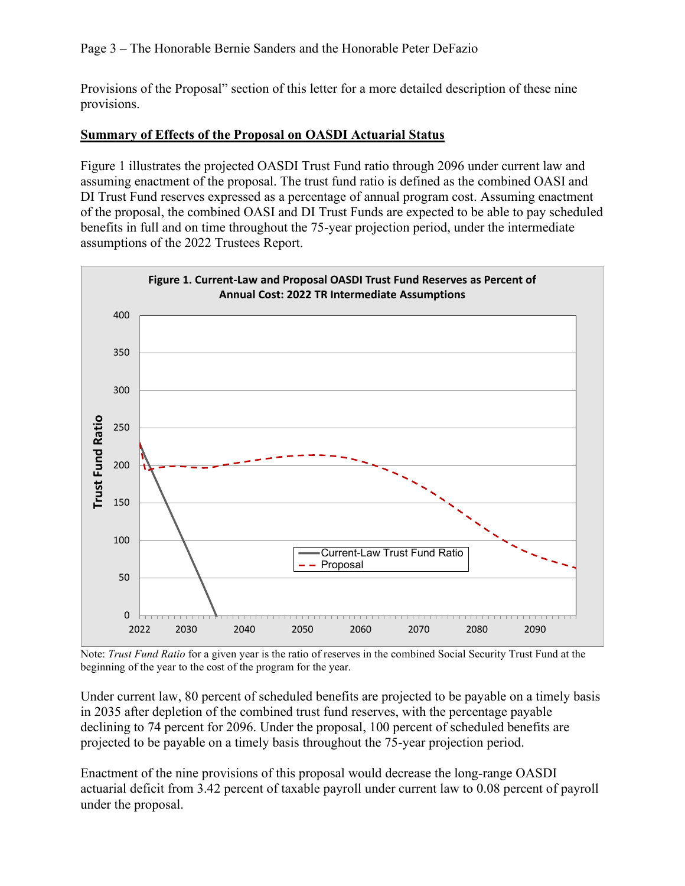#### Page 3 – The Honorable Bernie Sanders and the Honorable Peter DeFazio

Provisions of the Proposal" section of this letter for a more detailed description of these nine provisions.

#### **Summary of Effects of the Proposal on OASDI Actuarial Status**

Figure 1 illustrates the projected OASDI Trust Fund ratio through 2096 under current law and assuming enactment of the proposal. The trust fund ratio is defined as the combined OASI and DI Trust Fund reserves expressed as a percentage of annual program cost. Assuming enactment of the proposal, the combined OASI and DI Trust Funds are expected to be able to pay scheduled benefits in full and on time throughout the 75-year projection period, under the intermediate assumptions of the 2022 Trustees Report.



Note: *Trust Fund Ratio* for a given year is the ratio of reserves in the combined Social Security Trust Fund at the beginning of the year to the cost of the program for the year.

Under current law, 80 percent of scheduled benefits are projected to be payable on a timely basis in 2035 after depletion of the combined trust fund reserves, with the percentage payable declining to 74 percent for 2096. Under the proposal, 100 percent of scheduled benefits are projected to be payable on a timely basis throughout the 75-year projection period.

Enactment of the nine provisions of this proposal would decrease the long-range OASDI actuarial deficit from 3.42 percent of taxable payroll under current law to 0.08 percent of payroll under the proposal.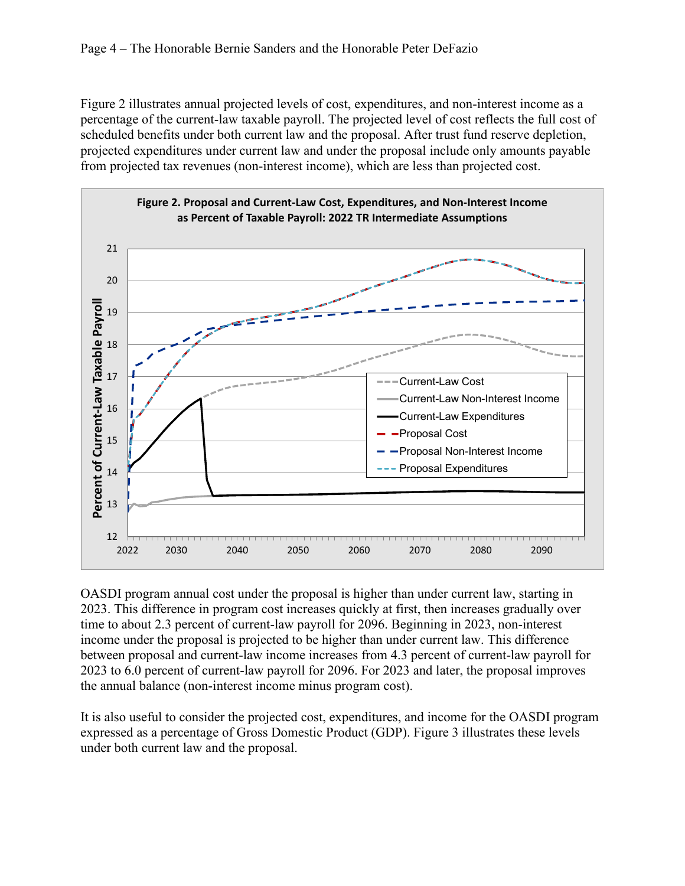Figure 2 illustrates annual projected levels of cost, expenditures, and non-interest income as a percentage of the current-law taxable payroll. The projected level of cost reflects the full cost of scheduled benefits under both current law and the proposal. After trust fund reserve depletion, projected expenditures under current law and under the proposal include only amounts payable from projected tax revenues (non-interest income), which are less than projected cost.



OASDI program annual cost under the proposal is higher than under current law, starting in 2023. This difference in program cost increases quickly at first, then increases gradually over time to about 2.3 percent of current-law payroll for 2096. Beginning in 2023, non-interest income under the proposal is projected to be higher than under current law. This difference between proposal and current-law income increases from 4.3 percent of current-law payroll for 2023 to 6.0 percent of current-law payroll for 2096. For 2023 and later, the proposal improves the annual balance (non-interest income minus program cost).

It is also useful to consider the projected cost, expenditures, and income for the OASDI program expressed as a percentage of Gross Domestic Product (GDP). Figure 3 illustrates these levels under both current law and the proposal.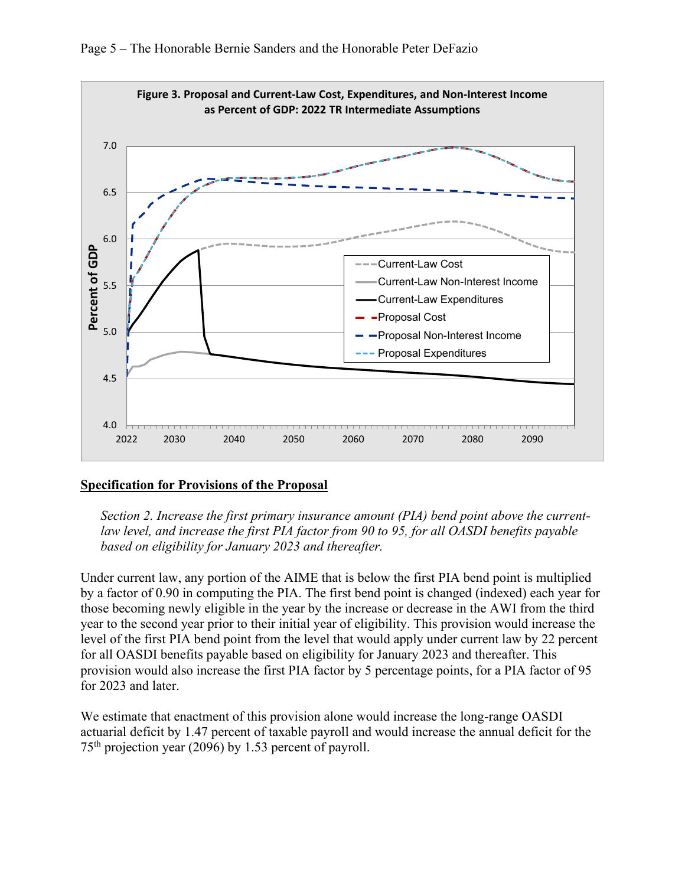



#### **Specification for Provisions of the Proposal**

*Section 2. Increase the first primary insurance amount (PIA) bend point above the currentlaw level, and increase the first PIA factor from 90 to 95, for all OASDI benefits payable based on eligibility for January 2023 and thereafter.*

Under current law, any portion of the AIME that is below the first PIA bend point is multiplied by a factor of 0.90 in computing the PIA. The first bend point is changed (indexed) each year for those becoming newly eligible in the year by the increase or decrease in the AWI from the third year to the second year prior to their initial year of eligibility. This provision would increase the level of the first PIA bend point from the level that would apply under current law by 22 percent for all OASDI benefits payable based on eligibility for January 2023 and thereafter. This provision would also increase the first PIA factor by 5 percentage points, for a PIA factor of 95 for 2023 and later.

We estimate that enactment of this provision alone would increase the long-range OASDI actuarial deficit by 1.47 percent of taxable payroll and would increase the annual deficit for the 75th projection year (2096) by 1.53 percent of payroll.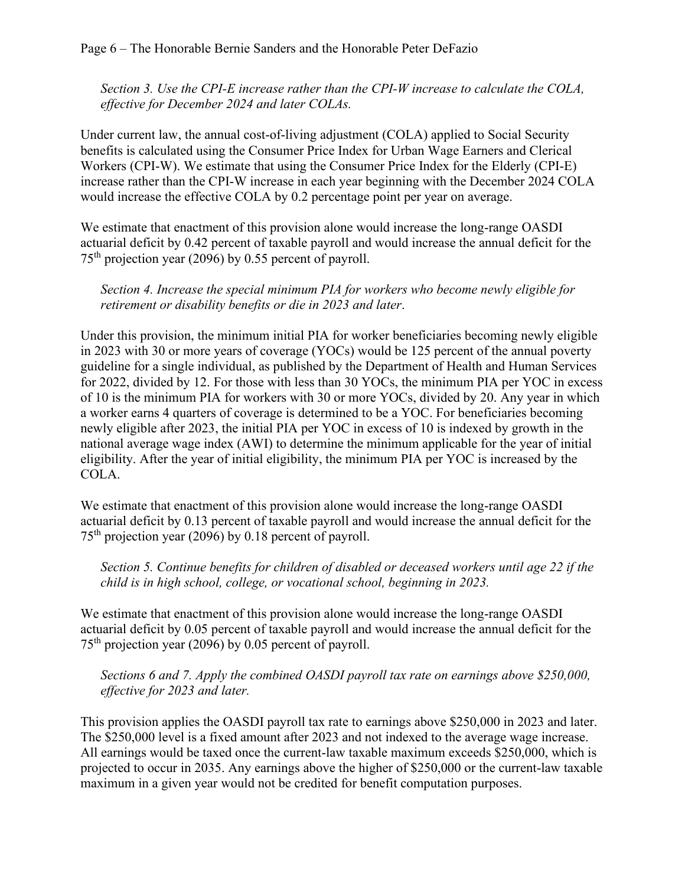*Section 3. Use the CPI-E increase rather than the CPI-W increase to calculate the COLA, effective for December 2024 and later COLAs.*

Under current law, the annual cost-of-living adjustment (COLA) applied to Social Security benefits is calculated using the Consumer Price Index for Urban Wage Earners and Clerical Workers (CPI-W). We estimate that using the Consumer Price Index for the Elderly (CPI-E) increase rather than the CPI-W increase in each year beginning with the December 2024 COLA would increase the effective COLA by 0.2 percentage point per year on average.

We estimate that enactment of this provision alone would increase the long-range OASDI actuarial deficit by 0.42 percent of taxable payroll and would increase the annual deficit for the 75th projection year (2096) by 0.55 percent of payroll.

*Section 4. Increase the special minimum PIA for workers who become newly eligible for retirement or disability benefits or die in 2023 and later*.

Under this provision, the minimum initial PIA for worker beneficiaries becoming newly eligible in 2023 with 30 or more years of coverage (YOCs) would be 125 percent of the annual poverty guideline for a single individual, as published by the Department of Health and Human Services for 2022, divided by 12. For those with less than 30 YOCs, the minimum PIA per YOC in excess of 10 is the minimum PIA for workers with 30 or more YOCs, divided by 20. Any year in which a worker earns 4 quarters of coverage is determined to be a YOC. For beneficiaries becoming newly eligible after 2023, the initial PIA per YOC in excess of 10 is indexed by growth in the national average wage index (AWI) to determine the minimum applicable for the year of initial eligibility. After the year of initial eligibility, the minimum PIA per YOC is increased by the COLA.

We estimate that enactment of this provision alone would increase the long-range OASDI actuarial deficit by 0.13 percent of taxable payroll and would increase the annual deficit for the 75th projection year (2096) by 0.18 percent of payroll.

*Section 5. Continue benefits for children of disabled or deceased workers until age 22 if the child is in high school, college, or vocational school, beginning in 2023.*

We estimate that enactment of this provision alone would increase the long-range OASDI actuarial deficit by 0.05 percent of taxable payroll and would increase the annual deficit for the 75th projection year (2096) by 0.05 percent of payroll.

*Sections 6 and 7. Apply the combined OASDI payroll tax rate on earnings above \$250,000, effective for 2023 and later.*

This provision applies the OASDI payroll tax rate to earnings above \$250,000 in 2023 and later. The \$250,000 level is a fixed amount after 2023 and not indexed to the average wage increase. All earnings would be taxed once the current-law taxable maximum exceeds \$250,000, which is projected to occur in 2035. Any earnings above the higher of \$250,000 or the current-law taxable maximum in a given year would not be credited for benefit computation purposes.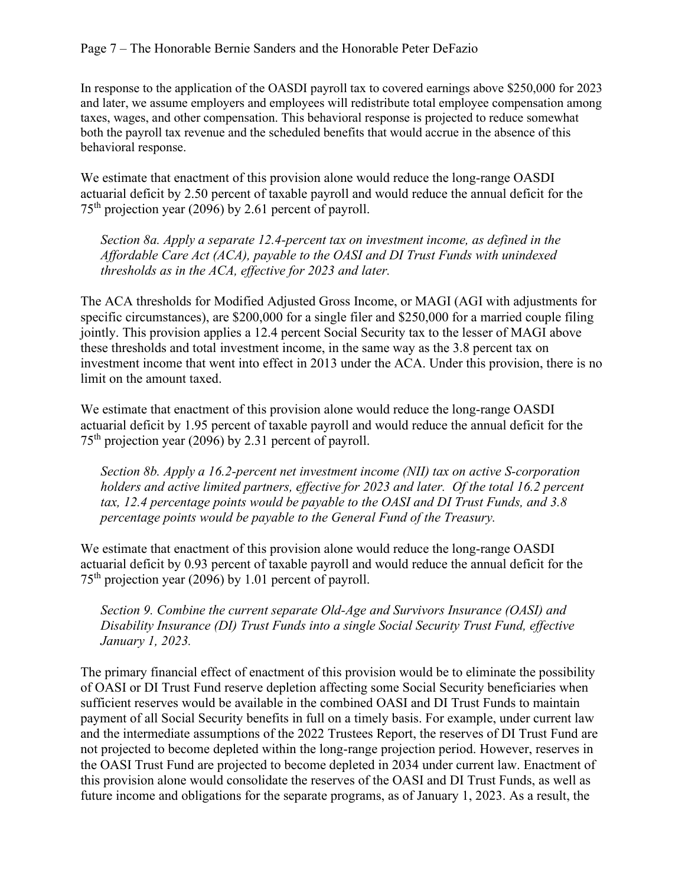In response to the application of the OASDI payroll tax to covered earnings above \$250,000 for 2023 and later, we assume employers and employees will redistribute total employee compensation among taxes, wages, and other compensation. This behavioral response is projected to reduce somewhat both the payroll tax revenue and the scheduled benefits that would accrue in the absence of this behavioral response.

We estimate that enactment of this provision alone would reduce the long-range OASDI actuarial deficit by 2.50 percent of taxable payroll and would reduce the annual deficit for the 75th projection year (2096) by 2.61 percent of payroll.

*Section 8a. Apply a separate 12.4-percent tax on investment income, as defined in the Affordable Care Act (ACA), payable to the OASI and DI Trust Funds with unindexed thresholds as in the ACA, effective for 2023 and later.*

The ACA thresholds for Modified Adjusted Gross Income, or MAGI (AGI with adjustments for specific circumstances), are \$200,000 for a single filer and \$250,000 for a married couple filing jointly. This provision applies a 12.4 percent Social Security tax to the lesser of MAGI above these thresholds and total investment income, in the same way as the 3.8 percent tax on investment income that went into effect in 2013 under the ACA. Under this provision, there is no limit on the amount taxed.

We estimate that enactment of this provision alone would reduce the long-range OASDI actuarial deficit by 1.95 percent of taxable payroll and would reduce the annual deficit for the 75th projection year (2096) by 2.31 percent of payroll.

*Section 8b. Apply a 16.2-percent net investment income (NII) tax on active S-corporation holders and active limited partners, effective for 2023 and later. Of the total 16.2 percent tax, 12.4 percentage points would be payable to the OASI and DI Trust Funds, and 3.8 percentage points would be payable to the General Fund of the Treasury.* 

We estimate that enactment of this provision alone would reduce the long-range OASDI actuarial deficit by 0.93 percent of taxable payroll and would reduce the annual deficit for the 75th projection year (2096) by 1.01 percent of payroll.

*Section 9. Combine the current separate Old-Age and Survivors Insurance (OASI) and Disability Insurance (DI) Trust Funds into a single Social Security Trust Fund, effective January 1, 2023.* 

The primary financial effect of enactment of this provision would be to eliminate the possibility of OASI or DI Trust Fund reserve depletion affecting some Social Security beneficiaries when sufficient reserves would be available in the combined OASI and DI Trust Funds to maintain payment of all Social Security benefits in full on a timely basis. For example, under current law and the intermediate assumptions of the 2022 Trustees Report, the reserves of DI Trust Fund are not projected to become depleted within the long-range projection period. However, reserves in the OASI Trust Fund are projected to become depleted in 2034 under current law. Enactment of this provision alone would consolidate the reserves of the OASI and DI Trust Funds, as well as future income and obligations for the separate programs, as of January 1, 2023. As a result, the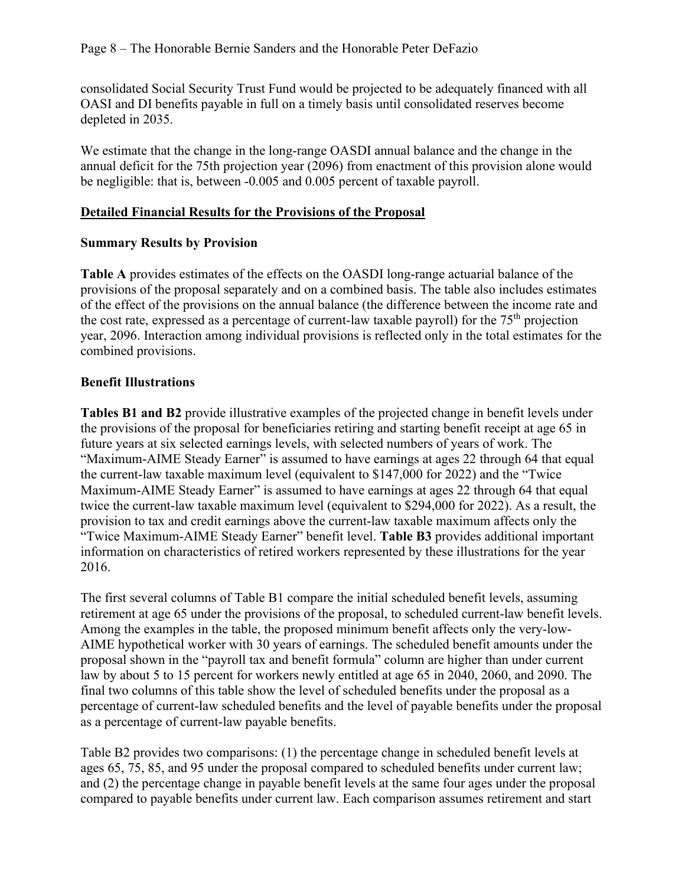consolidated Social Security Trust Fund would be projected to be adequately financed with all OASI and DI benefits payable in full on a timely basis until consolidated reserves become depleted in 2035.

We estimate that the change in the long-range OASDI annual balance and the change in the annual deficit for the 75th projection year (2096) from enactment of this provision alone would be negligible: that is, between -0.005 and 0.005 percent of taxable payroll.

#### **Detailed Financial Results for the Provisions of the Proposal**

#### **Summary Results by Provision**

**Table A** provides estimates of the effects on the OASDI long-range actuarial balance of the provisions of the proposal separately and on a combined basis. The table also includes estimates of the effect of the provisions on the annual balance (the difference between the income rate and the cost rate, expressed as a percentage of current-law taxable payroll) for the  $75<sup>th</sup>$  projection year, 2096. Interaction among individual provisions is reflected only in the total estimates for the combined provisions.

#### **Benefit Illustrations**

**Tables B1 and B2** provide illustrative examples of the projected change in benefit levels under the provisions of the proposal for beneficiaries retiring and starting benefit receipt at age 65 in future years at six selected earnings levels, with selected numbers of years of work. The "Maximum-AIME Steady Earner" is assumed to have earnings at ages 22 through 64 that equal the current-law taxable maximum level (equivalent to \$147,000 for 2022) and the "Twice Maximum-AIME Steady Earner" is assumed to have earnings at ages 22 through 64 that equal twice the current-law taxable maximum level (equivalent to \$294,000 for 2022). As a result, the provision to tax and credit earnings above the current-law taxable maximum affects only the "Twice Maximum-AIME Steady Earner" benefit level. **Table B3** provides additional important information on characteristics of retired workers represented by these illustrations for the year 2016.

The first several columns of Table B1 compare the initial scheduled benefit levels, assuming retirement at age 65 under the provisions of the proposal, to scheduled current-law benefit levels. Among the examples in the table, the proposed minimum benefit affects only the very-low-AIME hypothetical worker with 30 years of earnings. The scheduled benefit amounts under the proposal shown in the "payroll tax and benefit formula" column are higher than under current law by about 5 to 15 percent for workers newly entitled at age 65 in 2040, 2060, and 2090. The final two columns of this table show the level of scheduled benefits under the proposal as a percentage of current-law scheduled benefits and the level of payable benefits under the proposal as a percentage of current-law payable benefits.

Table B2 provides two comparisons: (1) the percentage change in scheduled benefit levels at ages 65, 75, 85, and 95 under the proposal compared to scheduled benefits under current law; and (2) the percentage change in payable benefit levels at the same four ages under the proposal compared to payable benefits under current law. Each comparison assumes retirement and start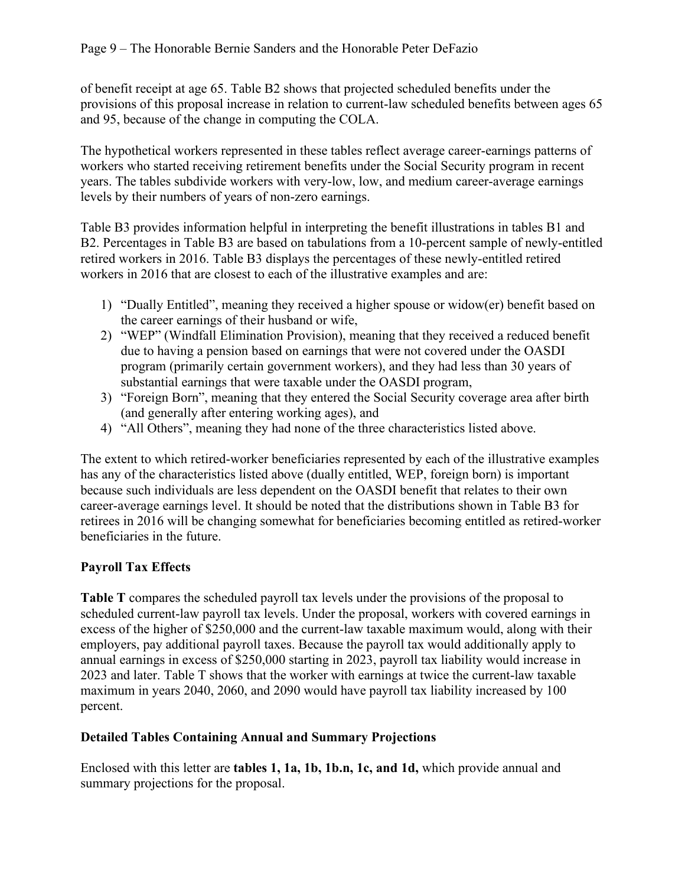of benefit receipt at age 65. Table B2 shows that projected scheduled benefits under the provisions of this proposal increase in relation to current-law scheduled benefits between ages 65 and 95, because of the change in computing the COLA.

The hypothetical workers represented in these tables reflect average career-earnings patterns of workers who started receiving retirement benefits under the Social Security program in recent years. The tables subdivide workers with very-low, low, and medium career-average earnings levels by their numbers of years of non-zero earnings.

Table B3 provides information helpful in interpreting the benefit illustrations in tables B1 and B2. Percentages in Table B3 are based on tabulations from a 10-percent sample of newly-entitled retired workers in 2016. Table B3 displays the percentages of these newly-entitled retired workers in 2016 that are closest to each of the illustrative examples and are:

- 1) "Dually Entitled", meaning they received a higher spouse or widow(er) benefit based on the career earnings of their husband or wife,
- 2) "WEP" (Windfall Elimination Provision), meaning that they received a reduced benefit due to having a pension based on earnings that were not covered under the OASDI program (primarily certain government workers), and they had less than 30 years of substantial earnings that were taxable under the OASDI program,
- 3) "Foreign Born", meaning that they entered the Social Security coverage area after birth (and generally after entering working ages), and
- 4) "All Others", meaning they had none of the three characteristics listed above.

The extent to which retired-worker beneficiaries represented by each of the illustrative examples has any of the characteristics listed above (dually entitled, WEP, foreign born) is important because such individuals are less dependent on the OASDI benefit that relates to their own career-average earnings level. It should be noted that the distributions shown in Table B3 for retirees in 2016 will be changing somewhat for beneficiaries becoming entitled as retired-worker beneficiaries in the future.

## **Payroll Tax Effects**

**Table T** compares the scheduled payroll tax levels under the provisions of the proposal to scheduled current-law payroll tax levels. Under the proposal, workers with covered earnings in excess of the higher of \$250,000 and the current-law taxable maximum would, along with their employers, pay additional payroll taxes. Because the payroll tax would additionally apply to annual earnings in excess of \$250,000 starting in 2023, payroll tax liability would increase in 2023 and later. Table T shows that the worker with earnings at twice the current-law taxable maximum in years 2040, 2060, and 2090 would have payroll tax liability increased by 100 percent.

## **Detailed Tables Containing Annual and Summary Projections**

Enclosed with this letter are **tables 1, 1a, 1b, 1b.n, 1c, and 1d,** which provide annual and summary projections for the proposal.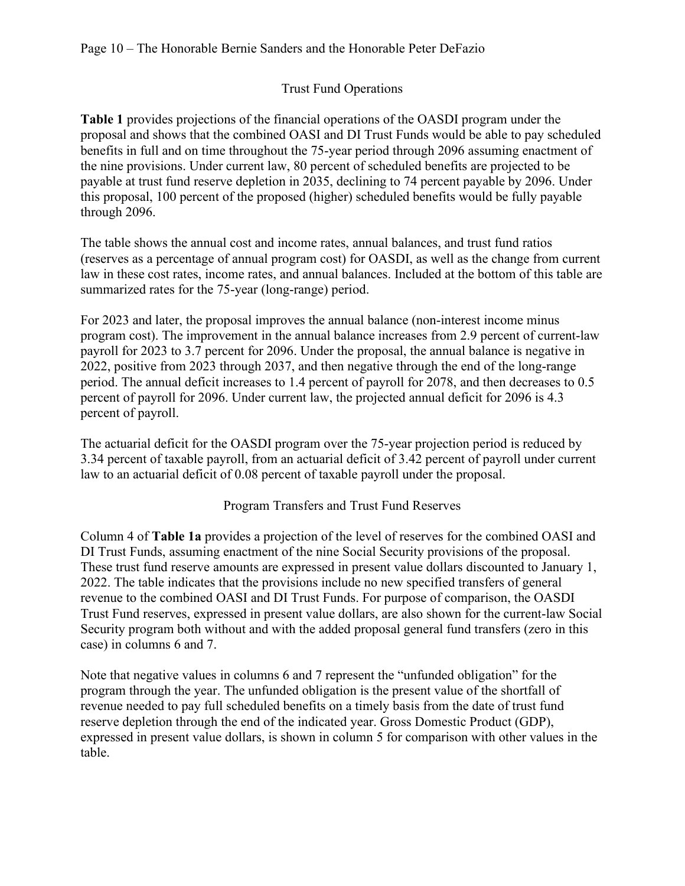#### Page 10 – The Honorable Bernie Sanders and the Honorable Peter DeFazio

#### Trust Fund Operations

**Table 1** provides projections of the financial operations of the OASDI program under the proposal and shows that the combined OASI and DI Trust Funds would be able to pay scheduled benefits in full and on time throughout the 75-year period through 2096 assuming enactment of the nine provisions. Under current law, 80 percent of scheduled benefits are projected to be payable at trust fund reserve depletion in 2035, declining to 74 percent payable by 2096. Under this proposal, 100 percent of the proposed (higher) scheduled benefits would be fully payable through 2096.

The table shows the annual cost and income rates, annual balances, and trust fund ratios (reserves as a percentage of annual program cost) for OASDI, as well as the change from current law in these cost rates, income rates, and annual balances. Included at the bottom of this table are summarized rates for the 75-year (long-range) period.

For 2023 and later, the proposal improves the annual balance (non-interest income minus program cost). The improvement in the annual balance increases from 2.9 percent of current-law payroll for 2023 to 3.7 percent for 2096. Under the proposal, the annual balance is negative in 2022, positive from 2023 through 2037, and then negative through the end of the long-range period. The annual deficit increases to 1.4 percent of payroll for 2078, and then decreases to 0.5 percent of payroll for 2096. Under current law, the projected annual deficit for 2096 is 4.3 percent of payroll.

The actuarial deficit for the OASDI program over the 75-year projection period is reduced by 3.34 percent of taxable payroll, from an actuarial deficit of 3.42 percent of payroll under current law to an actuarial deficit of 0.08 percent of taxable payroll under the proposal.

#### Program Transfers and Trust Fund Reserves

Column 4 of **Table 1a** provides a projection of the level of reserves for the combined OASI and DI Trust Funds, assuming enactment of the nine Social Security provisions of the proposal. These trust fund reserve amounts are expressed in present value dollars discounted to January 1, 2022. The table indicates that the provisions include no new specified transfers of general revenue to the combined OASI and DI Trust Funds. For purpose of comparison, the OASDI Trust Fund reserves, expressed in present value dollars, are also shown for the current-law Social Security program both without and with the added proposal general fund transfers (zero in this case) in columns 6 and 7.

Note that negative values in columns 6 and 7 represent the "unfunded obligation" for the program through the year. The unfunded obligation is the present value of the shortfall of revenue needed to pay full scheduled benefits on a timely basis from the date of trust fund reserve depletion through the end of the indicated year. Gross Domestic Product (GDP), expressed in present value dollars, is shown in column 5 for comparison with other values in the table.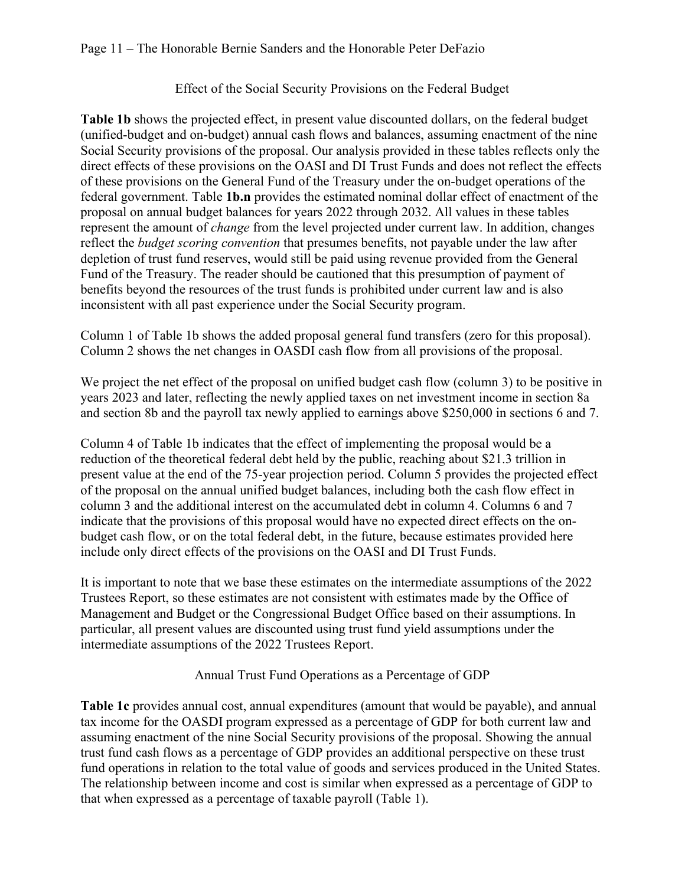#### Page 11 – The Honorable Bernie Sanders and the Honorable Peter DeFazio

#### Effect of the Social Security Provisions on the Federal Budget

**Table 1b** shows the projected effect, in present value discounted dollars, on the federal budget (unified-budget and on-budget) annual cash flows and balances, assuming enactment of the nine Social Security provisions of the proposal. Our analysis provided in these tables reflects only the direct effects of these provisions on the OASI and DI Trust Funds and does not reflect the effects of these provisions on the General Fund of the Treasury under the on-budget operations of the federal government. Table **1b.n** provides the estimated nominal dollar effect of enactment of the proposal on annual budget balances for years 2022 through 2032. All values in these tables represent the amount of *change* from the level projected under current law. In addition, changes reflect the *budget scoring convention* that presumes benefits, not payable under the law after depletion of trust fund reserves, would still be paid using revenue provided from the General Fund of the Treasury. The reader should be cautioned that this presumption of payment of benefits beyond the resources of the trust funds is prohibited under current law and is also inconsistent with all past experience under the Social Security program.

Column 1 of Table 1b shows the added proposal general fund transfers (zero for this proposal). Column 2 shows the net changes in OASDI cash flow from all provisions of the proposal.

We project the net effect of the proposal on unified budget cash flow (column 3) to be positive in years 2023 and later, reflecting the newly applied taxes on net investment income in section 8a and section 8b and the payroll tax newly applied to earnings above \$250,000 in sections 6 and 7.

Column 4 of Table 1b indicates that the effect of implementing the proposal would be a reduction of the theoretical federal debt held by the public, reaching about \$21.3 trillion in present value at the end of the 75-year projection period. Column 5 provides the projected effect of the proposal on the annual unified budget balances, including both the cash flow effect in column 3 and the additional interest on the accumulated debt in column 4. Columns 6 and 7 indicate that the provisions of this proposal would have no expected direct effects on the onbudget cash flow, or on the total federal debt, in the future, because estimates provided here include only direct effects of the provisions on the OASI and DI Trust Funds.

It is important to note that we base these estimates on the intermediate assumptions of the 2022 Trustees Report, so these estimates are not consistent with estimates made by the Office of Management and Budget or the Congressional Budget Office based on their assumptions. In particular, all present values are discounted using trust fund yield assumptions under the intermediate assumptions of the 2022 Trustees Report.

Annual Trust Fund Operations as a Percentage of GDP

**Table 1c** provides annual cost, annual expenditures (amount that would be payable), and annual tax income for the OASDI program expressed as a percentage of GDP for both current law and assuming enactment of the nine Social Security provisions of the proposal. Showing the annual trust fund cash flows as a percentage of GDP provides an additional perspective on these trust fund operations in relation to the total value of goods and services produced in the United States. The relationship between income and cost is similar when expressed as a percentage of GDP to that when expressed as a percentage of taxable payroll (Table 1).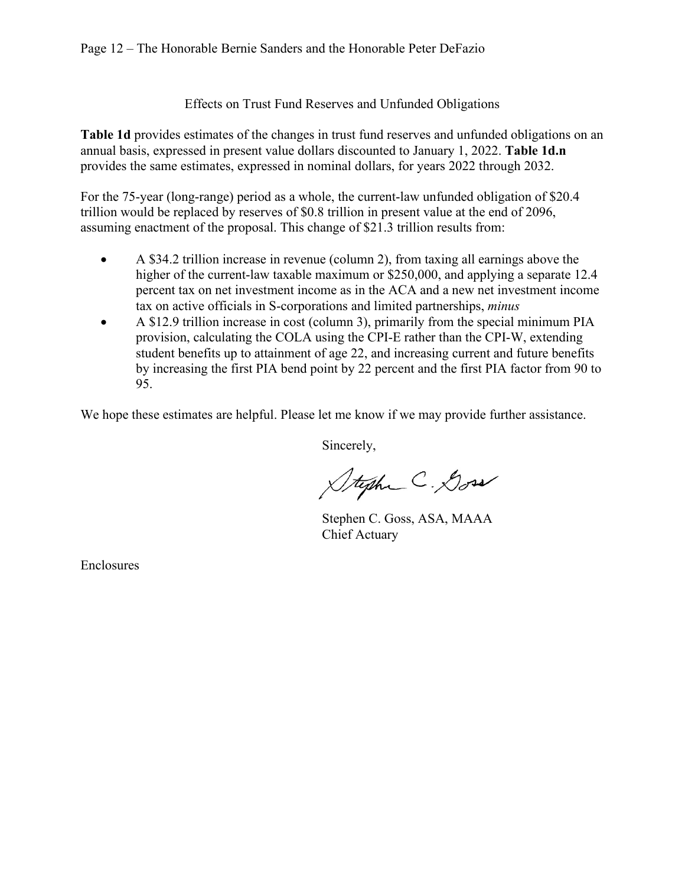Effects on Trust Fund Reserves and Unfunded Obligations

**Table 1d** provides estimates of the changes in trust fund reserves and unfunded obligations on an annual basis, expressed in present value dollars discounted to January 1, 2022. **Table 1d.n** provides the same estimates, expressed in nominal dollars, for years 2022 through 2032.

For the 75-year (long-range) period as a whole, the current-law unfunded obligation of \$20.4 trillion would be replaced by reserves of \$0.8 trillion in present value at the end of 2096, assuming enactment of the proposal. This change of \$21.3 trillion results from:

- A \$34.2 trillion increase in revenue (column 2), from taxing all earnings above the higher of the current-law taxable maximum or \$250,000, and applying a separate 12.4 percent tax on net investment income as in the ACA and a new net investment income tax on active officials in S-corporations and limited partnerships, *minus*
- A \$12.9 trillion increase in cost (column 3), primarily from the special minimum PIA provision, calculating the COLA using the CPI-E rather than the CPI-W, extending student benefits up to attainment of age 22, and increasing current and future benefits by increasing the first PIA bend point by 22 percent and the first PIA factor from 90 to 95.

We hope these estimates are helpful. Please let me know if we may provide further assistance.

Sincerely,

Stephe C. Goss

Stephen C. Goss, ASA, MAAA Chief Actuary

Enclosures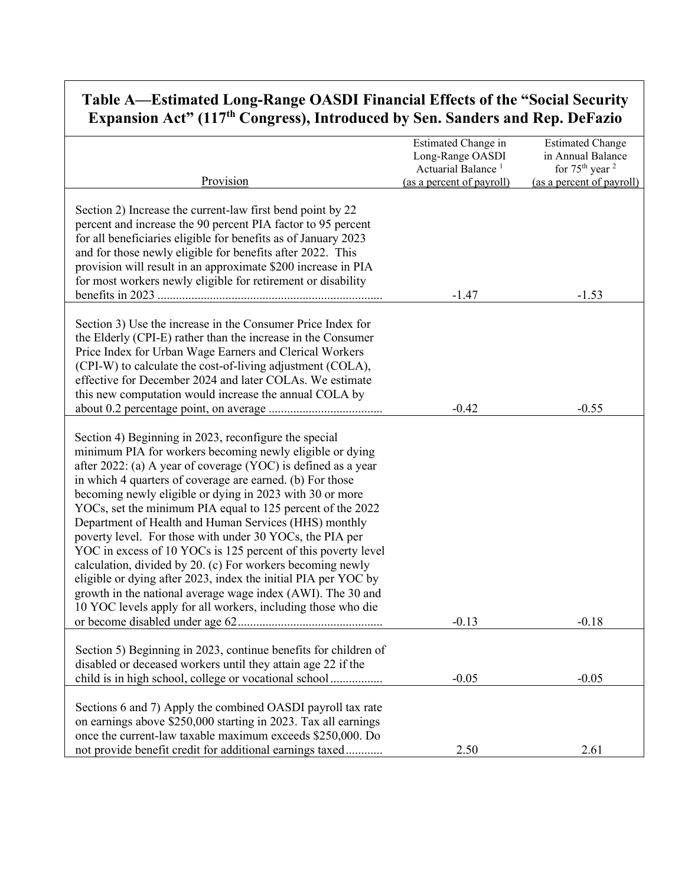# **Table A—Estimated Long-Range OASDI Financial Effects of the "Social Security Expansion Act" (117th Congress), Introduced by Sen. Sanders and Rep. DeFazio**

|                                                                                                                                                                                                                                                                                                                                                                                                                                                                                                                                                                                                                                                                                                                                                                                                                                | Estimated Change in            | <b>Estimated Change</b>      |
|--------------------------------------------------------------------------------------------------------------------------------------------------------------------------------------------------------------------------------------------------------------------------------------------------------------------------------------------------------------------------------------------------------------------------------------------------------------------------------------------------------------------------------------------------------------------------------------------------------------------------------------------------------------------------------------------------------------------------------------------------------------------------------------------------------------------------------|--------------------------------|------------------------------|
|                                                                                                                                                                                                                                                                                                                                                                                                                                                                                                                                                                                                                                                                                                                                                                                                                                | Long-Range OASDI               | in Annual Balance            |
|                                                                                                                                                                                                                                                                                                                                                                                                                                                                                                                                                                                                                                                                                                                                                                                                                                | Actuarial Balance <sup>1</sup> | for $75th$ year <sup>2</sup> |
| Provision                                                                                                                                                                                                                                                                                                                                                                                                                                                                                                                                                                                                                                                                                                                                                                                                                      | (as a percent of payroll)      | (as a percent of payroll)    |
| Section 2) Increase the current-law first bend point by 22<br>percent and increase the 90 percent PIA factor to 95 percent<br>for all beneficiaries eligible for benefits as of January 2023<br>and for those newly eligible for benefits after 2022. This<br>provision will result in an approximate \$200 increase in PIA<br>for most workers newly eligible for retirement or disability<br>benefits in 2023                                                                                                                                                                                                                                                                                                                                                                                                                | $-1.47$                        | $-1.53$                      |
| Section 3) Use the increase in the Consumer Price Index for<br>the Elderly (CPI-E) rather than the increase in the Consumer<br>Price Index for Urban Wage Earners and Clerical Workers<br>(CPI-W) to calculate the cost-of-living adjustment (COLA),<br>effective for December 2024 and later COLAs. We estimate<br>this new computation would increase the annual COLA by                                                                                                                                                                                                                                                                                                                                                                                                                                                     | $-0.42$                        | $-0.55$                      |
| Section 4) Beginning in 2023, reconfigure the special<br>minimum PIA for workers becoming newly eligible or dying<br>after 2022: (a) A year of coverage (YOC) is defined as a year<br>in which 4 quarters of coverage are earned. (b) For those<br>becoming newly eligible or dying in 2023 with 30 or more<br>YOCs, set the minimum PIA equal to 125 percent of the 2022<br>Department of Health and Human Services (HHS) monthly<br>poverty level. For those with under 30 YOCs, the PIA per<br>YOC in excess of 10 YOCs is 125 percent of this poverty level<br>calculation, divided by 20. (c) For workers becoming newly<br>eligible or dying after 2023, index the initial PIA per YOC by<br>growth in the national average wage index (AWI). The 30 and<br>10 YOC levels apply for all workers, including those who die | $-0.13$                        | $-0.18$                      |
| Section 5) Beginning in 2023, continue benefits for children of<br>disabled or deceased workers until they attain age 22 if the<br>child is in high school, college or vocational school                                                                                                                                                                                                                                                                                                                                                                                                                                                                                                                                                                                                                                       | $-0.05$                        | $-0.05$                      |
| Sections 6 and 7) Apply the combined OASDI payroll tax rate<br>on earnings above \$250,000 starting in 2023. Tax all earnings<br>once the current-law taxable maximum exceeds \$250,000. Do<br>not provide benefit credit for additional earnings taxed                                                                                                                                                                                                                                                                                                                                                                                                                                                                                                                                                                        | 2.50                           | 2.61                         |
|                                                                                                                                                                                                                                                                                                                                                                                                                                                                                                                                                                                                                                                                                                                                                                                                                                |                                |                              |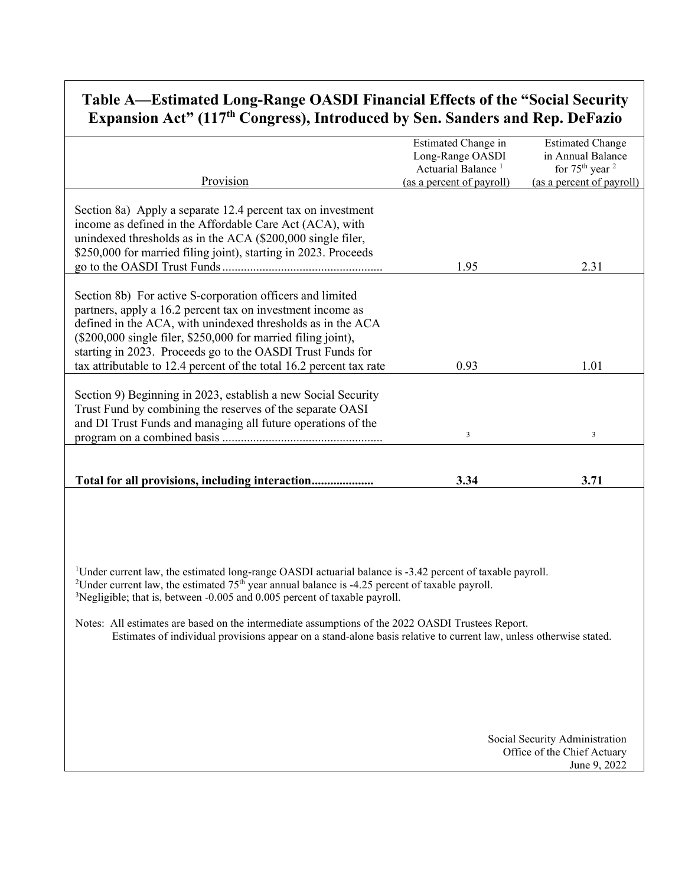# **Table A—Estimated Long-Range OASDI Financial Effects of the "Social Security Expansion Act" (117th Congress), Introduced by Sen. Sanders and Rep. DeFazio**

| Provision                                                                                                                                                                                                                                                                                                                                                                                                                                                                                                                                                   | Estimated Change in<br>Long-Range OASDI<br>Actuarial Balance <sup>1</sup><br>(as a percent of payroll) | <b>Estimated Change</b><br>in Annual Balance<br>for $75th$ year <sup>2</sup><br>(as a percent of payroll) |  |  |  |  |  |  |  |
|-------------------------------------------------------------------------------------------------------------------------------------------------------------------------------------------------------------------------------------------------------------------------------------------------------------------------------------------------------------------------------------------------------------------------------------------------------------------------------------------------------------------------------------------------------------|--------------------------------------------------------------------------------------------------------|-----------------------------------------------------------------------------------------------------------|--|--|--|--|--|--|--|
| Section 8a) Apply a separate 12.4 percent tax on investment<br>income as defined in the Affordable Care Act (ACA), with<br>unindexed thresholds as in the ACA (\$200,000 single filer,<br>\$250,000 for married filing joint), starting in 2023. Proceeds                                                                                                                                                                                                                                                                                                   | 1.95                                                                                                   | 2.31                                                                                                      |  |  |  |  |  |  |  |
| Section 8b) For active S-corporation officers and limited<br>partners, apply a 16.2 percent tax on investment income as<br>defined in the ACA, with unindexed thresholds as in the ACA<br>$(\$200,000$ single filer, $\$250,000$ for married filing joint),<br>starting in 2023. Proceeds go to the OASDI Trust Funds for<br>tax attributable to 12.4 percent of the total 16.2 percent tax rate                                                                                                                                                            | 0.93                                                                                                   | 1.01                                                                                                      |  |  |  |  |  |  |  |
| Section 9) Beginning in 2023, establish a new Social Security<br>Trust Fund by combining the reserves of the separate OASI<br>and DI Trust Funds and managing all future operations of the                                                                                                                                                                                                                                                                                                                                                                  | 3                                                                                                      | 3                                                                                                         |  |  |  |  |  |  |  |
| Total for all provisions, including interaction                                                                                                                                                                                                                                                                                                                                                                                                                                                                                                             | 3.34                                                                                                   | 3.71                                                                                                      |  |  |  |  |  |  |  |
| <sup>1</sup> Under current law, the estimated long-range OASDI actuarial balance is -3.42 percent of taxable payroll.<br><sup>2</sup> Under current law, the estimated $75th$ year annual balance is -4.25 percent of taxable payroll.<br><sup>3</sup> Negligible; that is, between -0.005 and 0.005 percent of taxable payroll.<br>Notes: All estimates are based on the intermediate assumptions of the 2022 OASDI Trustees Report.<br>Estimates of individual provisions appear on a stand-alone basis relative to current law, unless otherwise stated. |                                                                                                        |                                                                                                           |  |  |  |  |  |  |  |
|                                                                                                                                                                                                                                                                                                                                                                                                                                                                                                                                                             |                                                                                                        | Social Security Administration<br>Office of the Chief Actuary<br>June 9, 2022                             |  |  |  |  |  |  |  |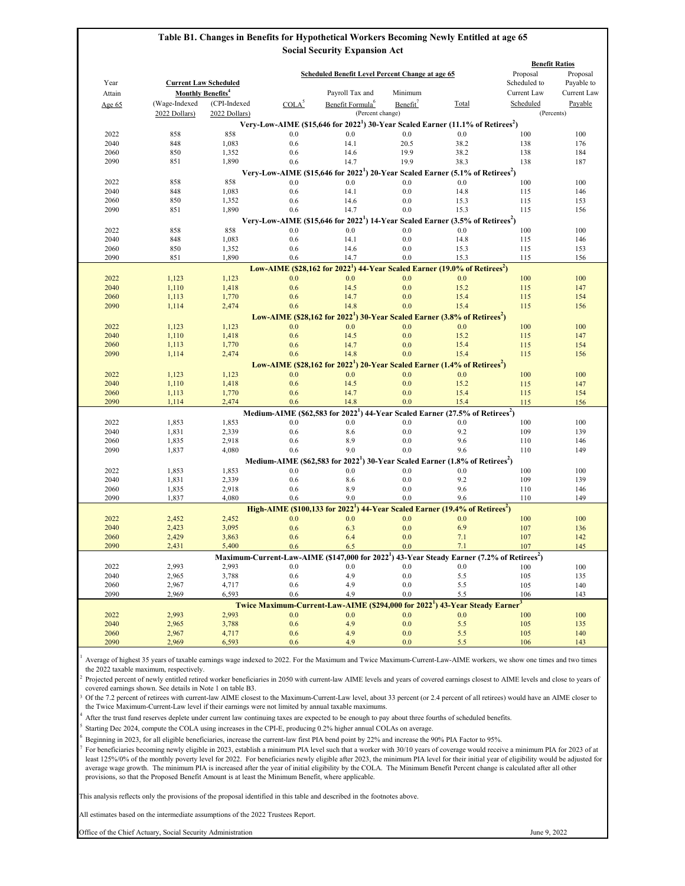|              |                |                                     |                   |                                                                                                                    |                      |              | <b>Benefit Ratios</b> |             |
|--------------|----------------|-------------------------------------|-------------------|--------------------------------------------------------------------------------------------------------------------|----------------------|--------------|-----------------------|-------------|
|              |                |                                     |                   | <b>Scheduled Benefit Level Percent Change at age 65</b>                                                            |                      |              | Proposal              | Proposal    |
| Year         |                | <b>Current Law Scheduled</b>        |                   |                                                                                                                    |                      |              | Scheduled to          | Payable to  |
| Attain       |                | <b>Monthly Benefits<sup>4</sup></b> |                   | Payroll Tax and                                                                                                    | Minimum              |              | Current Law           | Current Law |
| Age $65$     | (Wage-Indexed  | (CPI-Indexed                        | COLA <sup>5</sup> | Benefit Formula <sup>6</sup>                                                                                       | Benefit <sup>7</sup> | Total        | Scheduled             | Payable     |
|              | 2022 Dollars)  | 2022 Dollars)                       |                   | (Percent change)                                                                                                   |                      |              | (Percents)            |             |
|              |                |                                     |                   | Very-Low-AIME (\$15,646 for 2022 <sup>1</sup> ) 30-Year Scaled Earner (11.1% of Retirees <sup>2</sup> )            |                      |              |                       |             |
| 2022         | 858            | 858                                 | 0.0               | 0.0                                                                                                                | 0.0                  | 0.0          | 100                   | 100         |
| 2040         | 848            | 1,083                               | 0.6               | 14.1                                                                                                               | 20.5                 | 38.2         | 138                   | 176         |
| 2060         | 850            | 1,352                               | 0.6               | 14.6                                                                                                               | 19.9                 | 38.2         | 138                   | 184         |
| 2090         | 851            | 1,890                               | 0.6               | 14.7                                                                                                               | 19.9                 | 38.3         | 138                   | 187         |
|              |                |                                     |                   | Very-Low-AIME (\$15,646 for $2022^1$ ) 20-Year Scaled Earner (5.1% of Retirees <sup>2</sup> )                      |                      |              |                       |             |
| 2022         | 858            | 858                                 | 0.0               | 0.0                                                                                                                | 0.0                  | 0.0          | 100                   | 100         |
| 2040         | 848            | 1,083                               | 0.6               | 14.1                                                                                                               | 0.0                  | 14.8         | 115                   | 146         |
| 2060         | 850            | 1,352                               | 0.6               | 14.6                                                                                                               | 0.0                  | 15.3         | 115                   | 153         |
| 2090         | 851            | 1,890                               | 0.6               | 14.7                                                                                                               | 0.0                  | 15.3         | 115                   | 156         |
|              |                |                                     |                   | Very-Low-AIME (\$15,646 for 2022 <sup>1</sup> ) 14-Year Scaled Earner (3.5% of Retirees <sup>2</sup> )             |                      |              |                       |             |
| 2022         | 858            | 858                                 | 0.0               | 0.0                                                                                                                | 0.0                  | 0.0          | 100                   | 100         |
| 2040         | 848            | 1,083                               | 0.6               | 14.1                                                                                                               | 0.0                  | 14.8         | 115                   | 146         |
| 2060         | 850            | 1,352                               | 0.6               | 14.6                                                                                                               | 0.0                  | 15.3         | 115                   | 153         |
| 2090         | 851            | 1,890                               | 0.6               | 14.7                                                                                                               | 0.0                  | 15.3         | 115                   | 156         |
|              |                |                                     |                   | Low-AIME $(S28,162$ for $2022^1)$ 44-Year Scaled Earner (19.0% of Retirees <sup>2</sup> )                          |                      |              |                       |             |
| 2022         | 1,123          | 1,123                               | 0.0               | 0.0                                                                                                                | 0.0                  | 0.0          | 100                   | 100         |
| 2040         | 1,110          | 1,418                               | 0.6               | 14.5                                                                                                               | 0.0                  | 15.2         | 115                   | 147         |
| 2060         | 1,113          | 1,770                               | 0.6               | 14.7                                                                                                               | 0.0                  | 15.4         | 115                   | 154         |
| 2090         | 1,114          | 2,474                               | 0.6               | 14.8                                                                                                               | 0.0                  | 15.4         | 115                   | 156         |
|              |                |                                     |                   | Low-AIME (\$28,162 for $20221$ ) 30-Year Scaled Earner (3.8% of Retirees <sup>2</sup> )                            |                      |              |                       |             |
| 2022         | 1,123          | 1,123                               | 0.0               | 0.0                                                                                                                | 0.0                  | 0.0          | 100                   | 100         |
| 2040         | 1,110          | 1,418                               | 0.6               | 14.5                                                                                                               | 0.0                  | 15.2         | 115                   | 147         |
| 2060         | 1,113          | 1,770                               | 0.6               | 14.7                                                                                                               | 0.0                  | 15.4         | 115                   | 154         |
| 2090         | 1,114          | 2,474                               | 0.6               | 14.8                                                                                                               | 0.0                  | 15.4         | 115                   | 156         |
|              |                |                                     |                   | Low-AIME (\$28,162 for 2022 <sup>1</sup> ) 20-Year Scaled Earner (1.4% of Retirees <sup>2</sup> )                  |                      |              |                       |             |
| 2022         | 1,123          | 1,123                               | 0.0               | 0.0                                                                                                                | 0.0                  | 0.0          | 100                   | 100         |
| 2040         | 1,110          | 1,418<br>1,770                      | 0.6<br>0.6        | 14.5<br>14.7                                                                                                       | 0.0                  | 15.2<br>15.4 | 115                   | 147         |
| 2060<br>2090 | 1,113<br>1,114 | 2,474                               | 0.6               | 14.8                                                                                                               | 0.0<br>0.0           | 15.4         | 115<br>115            | 154<br>156  |
|              |                |                                     |                   |                                                                                                                    |                      |              |                       |             |
| 2022         | 1,853          | 1,853                               | 0.0               | Medium-AIME (\$62,583 for 2022 <sup>1</sup> ) 44-Year Scaled Earner (27.5% of Retirees <sup>2</sup> )<br>0.0       | 0.0                  | 0.0          | 100                   | 100         |
| 2040         | 1,831          | 2,339                               | 0.6               | 8.6                                                                                                                | 0.0                  | 9.2          | 109                   | 139         |
| 2060         | 1,835          | 2,918                               | 0.6               | 8.9                                                                                                                | 0.0                  | 9.6          | 110                   | 146         |
| 2090         | 1,837          | 4,080                               | 0.6               | 9.0                                                                                                                | 0.0                  | 9.6          | 110                   | 149         |
|              |                |                                     |                   | Medium-AIME (\$62,583 for 2022 <sup>1</sup> ) 30-Year Scaled Earner (1.8% of Retirees <sup>2</sup> )               |                      |              |                       |             |
| 2022         | 1,853          | 1,853                               | 0.0               | 0.0                                                                                                                | 0.0                  | 0.0          | 100                   | 100         |
| 2040         | 1,831          | 2,339                               | 0.6               | 8.6                                                                                                                | 0.0                  | 9.2          | 109                   | 139         |
| 2060         | 1,835          | 2,918                               | 0.6               | 8.9                                                                                                                | 0.0                  | 9.6          | 110                   | 146         |
| 2090         | 1,837          | 4,080                               | 0.6               | 9.0                                                                                                                | 0.0                  | 9.6          | 110                   | 149         |
|              |                |                                     |                   | High-AIME (\$100,133 for 2022 <sup>1</sup> ) 44-Year Scaled Earner (19.4% of Retirees <sup>2</sup> )               |                      |              |                       |             |
| 2022         | 2,452          | 2,452                               | 0.0               | 0.0                                                                                                                | 0.0                  | 0.0          | 100                   | 100         |
| 2040         | 2,423          | 3,095                               | 0.6               | 6.3                                                                                                                | 0.0                  | 6.9          | 107                   | 136         |
| 2060         | 2,429          | 3,863                               | 0.6               | 6.4                                                                                                                | 0.0                  | 7.1          | 107                   | 142         |
| 2090         | 2,431          | 5,400                               | 0.6               | 6.5                                                                                                                | 0.0                  | 7.1          | 107                   | 145         |
|              |                |                                     |                   | Maximum-Current-Law-AIME (\$147,000 for 2022 <sup>1</sup> ) 43-Year Steady Earner (7.2% of Retirees <sup>2</sup> ) |                      |              |                       |             |
| 2022         | 2,993          | 2,993                               | 0.0               | 0.0                                                                                                                | 0.0                  | 0.0          | 100                   | 100         |
| 2040         | 2,965          | 3,788                               | 0.6               | 4.9                                                                                                                | 0.0                  | 5.5          | 105                   | 135         |
| 2060         | 2,967          | 4,717                               | 0.6               | 4.9                                                                                                                | 0.0                  | 5.5          | 105                   | 140         |
| 2090         | 2,969          | 6,593                               | 0.6               | 4.9                                                                                                                | 0.0                  | 5.5          | 106                   | 143         |
|              |                |                                     |                   | Twice Maximum-Current-Law-AIME (\$294,000 for 2022 <sup>1</sup> ) 43-Year Steady Earner <sup>3</sup>               |                      |              |                       |             |
| 2022         | 2,993          | 2,993                               | 0.0               | 0.0                                                                                                                | 0.0                  | 0.0          | 100                   | 100         |
| 2040         | 2,965          | 3,788                               | 0.6               | 4.9                                                                                                                | 0.0                  | 5.5          | 105                   | 135         |
| 2060         | 2,967          | 4,717                               | 0.6               | 4.9                                                                                                                | 0.0                  | 5.5          | 105                   | 140         |
| 2090         | 2,969          | 6,593                               | 0.6               | 4.9                                                                                                                | 0.0                  | 5.5          | 106                   | 143         |

1

All estimates based on the intermediate assumptions of the 2022 Trustees Report.

Office of the Chief Actuary, Social Security Administration June 9, 2022

## **Table B1. Changes in Benefits for Hypothetical Workers Becoming Newly Entitled at age 65 Social Security Expansion Act**

3 Of the 7.2 percent of retirees with current-law AIME closest to the Maximum-Current-Law level, about 33 percent (or 2.4 percent of all retirees) would have an AIME closer to the Twice Maximum-Current-Law level if their earnings were not limited by annual taxable maximums.

2 Projected percent of newly entitled retired worker beneficiaries in 2050 with current-law AIME levels and years of covered earnings closest to AIME levels and close to years of covered earnings shown. See details in Note 1 on table B3.

4 After the trust fund reserves deplete under current law continuing taxes are expected to be enough to pay about three fourths of scheduled benefits.

5 Starting Dec 2024, compute the COLA using increases in the CPI-E, producing 0.2% higher annual COLAs on average.

6 Beginning in 2023, for all eligible beneficiaries, increase the current-law first PIA bend point by 22% and increase the 90% PIA Factor to 95%.

7 For beneficiaries becoming newly eligible in 2023, establish a minimum PIA level such that a worker with 30/10 years of coverage would receive a minimum PIA for 2023 of at least 125%/0% of the monthly poverty level for 2022. For beneficiaries newly eligible after 2023, the minimum PIA level for their initial year of eligibility would be adjusted for average wage growth. The minimum PIA is increased after the year of initial eligibility by the COLA. The Minimum Benefit Percent change is calculated after all other provisions, so that the Proposed Benefit Amount is at least the Minimum Benefit, where applicable.

Average of highest 35 years of taxable earnings wage indexed to 2022. For the Maximum and Twice Maximum-Current-Law-AIME workers, we show one times and two times the 2022 taxable maximum, respectively.

This analysis reflects only the provisions of the proposal identified in this table and described in the footnotes above.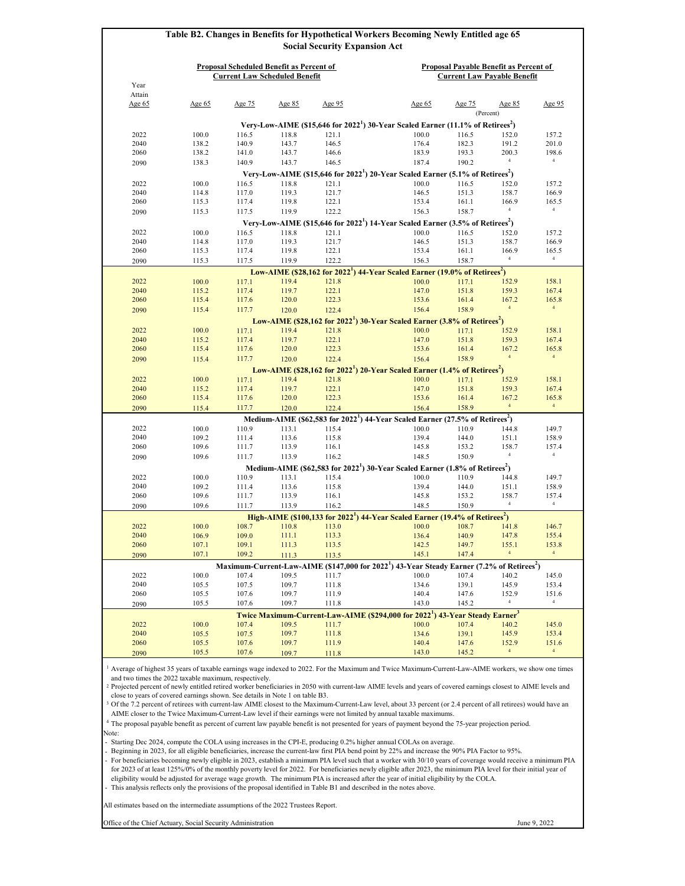$4$  The proposal payable benefit as percent of current law payable benefit is not presented for years of payment beyond the 75-year projection period. Note:

|              |                |                |                                                 |                                      | Table B2. Changes in Benefits for Hypothetical Workers Becoming Newly Entitled age 65                              |                |                                               |                         |
|--------------|----------------|----------------|-------------------------------------------------|--------------------------------------|--------------------------------------------------------------------------------------------------------------------|----------------|-----------------------------------------------|-------------------------|
|              |                |                |                                                 | <b>Social Security Expansion Act</b> |                                                                                                                    |                |                                               |                         |
|              |                |                | <b>Proposal Scheduled Benefit as Percent of</b> |                                      |                                                                                                                    |                | <b>Proposal Payable Benefit as Percent of</b> |                         |
|              |                |                | <b>Current Law Scheduled Benefit</b>            |                                      |                                                                                                                    |                | <b>Current Law Payable Benefit</b>            |                         |
| Year         |                |                |                                                 |                                      |                                                                                                                    |                |                                               |                         |
| Attain       |                |                |                                                 |                                      |                                                                                                                    |                |                                               |                         |
| Age 65       | Age 65         | Age 75         | Age 85                                          | Age 95                               | Age 65                                                                                                             | Age 75         | Age 85                                        | Age 95                  |
|              |                |                |                                                 |                                      |                                                                                                                    |                | (Percent)                                     |                         |
|              |                |                |                                                 |                                      | Very-Low-AIME (\$15,646 for 2022 <sup>1</sup> ) 30-Year Scaled Earner (11.1% of Retirees <sup>2</sup> )            |                |                                               |                         |
| 2022         | 100.0          | 116.5          | 118.8                                           | 121.1                                | 100.0                                                                                                              | 116.5          | 152.0                                         | 157.2                   |
| 2040<br>2060 | 138.2<br>138.2 | 140.9<br>141.0 | 143.7<br>143.7                                  | 146.5<br>146.6                       | 176.4<br>183.9                                                                                                     | 182.3<br>193.3 | 191.2<br>200.3                                | 201.0<br>198.6          |
| 2090         | 138.3          | 140.9          | 143.7                                           | 146.5                                | 187.4                                                                                                              | 190.2          | $\overline{4}$                                | $\overline{4}$          |
|              |                |                |                                                 |                                      |                                                                                                                    |                |                                               |                         |
| 2022         | 100.0          | 116.5          | 118.8                                           | 121.1                                | Very-Low-AIME (\$15,646 for $2022^1$ ) 20-Year Scaled Earner (5.1% of Retirees <sup>2</sup> )<br>100.0             | 116.5          | 152.0                                         | 157.2                   |
| 2040         | 114.8          | 117.0          | 119.3                                           | 121.7                                | 146.5                                                                                                              | 151.3          | 158.7                                         | 166.9                   |
| 2060         | 115.3          | 117.4          | 119.8                                           | 122.1                                | 153.4                                                                                                              | 161.1          | 166.9                                         | 165.5                   |
| 2090         | 115.3          | 117.5          | 119.9                                           | 122.2                                | 156.3                                                                                                              | 158.7          | $\overline{4}$                                | $\overline{4}$          |
|              |                |                |                                                 |                                      | Very-Low-AIME (\$15,646 for $2022^1$ ) 14-Year Scaled Earner (3.5% of Retirees <sup>2</sup> )                      |                |                                               |                         |
| 2022         | 100.0          | 116.5          | 118.8                                           | 121.1                                | 100.0                                                                                                              | 116.5          | 152.0                                         | 157.2                   |
| 2040         | 114.8          | 117.0          | 119.3                                           | 121.7                                | 146.5                                                                                                              | 151.3          | 158.7                                         | 166.9                   |
| 2060         | 115.3          | 117.4          | 119.8                                           | 122.1                                | 153.4                                                                                                              | 161.1          | 166.9                                         | 165.5                   |
| 2090         | 115.3          | 117.5          | 119.9                                           | 122.2                                | 156.3                                                                                                              | 158.7          | $\overline{4}$                                | $\overline{4}$          |
|              |                |                |                                                 |                                      | Low-AIME (\$28,162 for $2022^1$ ) 44-Year Scaled Earner (19.0% of Retirees <sup>2</sup> )                          |                |                                               |                         |
| 2022         | 100.0          | 117.1          | 119.4                                           | 121.8                                | 100.0                                                                                                              | 117.1          | 152.9                                         | 158.1                   |
| 2040         | 115.2          | 117.4          | 119.7                                           | 122.1                                | 147.0                                                                                                              | 151.8          | 159.3                                         | 167.4                   |
| 2060         | 115.4          | 117.6          | 120.0                                           | 122.3                                | 153.6                                                                                                              | 161.4          | 167.2                                         | 165.8                   |
| 2090         | 115.4          | 117.7          | 120.0                                           | 122.4                                | 156.4                                                                                                              | 158.9          | $\overline{4}$                                | $\overline{4}$          |
|              |                |                |                                                 |                                      | Low-AIME $(S28,162$ for $2022^1)$ 30-Year Scaled Earner (3.8% of Retirees <sup>2</sup> )                           |                |                                               |                         |
| 2022         | 100.0          | 117.1          | 119.4                                           | 121.8                                | 100.0                                                                                                              | 117.1          | 152.9                                         | 158.1                   |
| 2040         | 115.2          | 117.4          | 119.7                                           | 122.1                                | 147.0                                                                                                              | 151.8          | 159.3                                         | 167.4                   |
| 2060         | 115.4          | 117.6          | 120.0                                           | 122.3                                | 153.6                                                                                                              | 161.4          | 167.2                                         | 165.8<br>$\overline{4}$ |
| 2090         | 115.4          | 117.7          | 120.0                                           | 122.4                                | 156.4                                                                                                              | 158.9          |                                               |                         |
|              |                |                |                                                 |                                      | Low-AIME (\$28,162 for $20221$ ) 20-Year Scaled Earner (1.4% of Retirees <sup>2</sup> )                            |                |                                               |                         |
| 2022         | 100.0          | 117.1          | 119.4                                           | 121.8                                | 100.0                                                                                                              | 117.1          | 152.9                                         | 158.1                   |
| 2040         | 115.2          | 117.4          | 119.7                                           | 122.1                                | 147.0                                                                                                              | 151.8          | 159.3                                         | 167.4                   |
| 2060         | 115.4          | 117.6          | 120.0                                           | 122.3                                | 153.6                                                                                                              | 161.4          | 167.2<br>$\overline{4}$                       | 165.8<br>$\overline{4}$ |
| 2090         | 115.4          | 117.7          | 120.0                                           | 122.4                                | 156.4                                                                                                              | 158.9          |                                               |                         |
|              |                |                |                                                 |                                      | Medium-AIME (\$62,583 for 2022 <sup>1</sup> ) 44-Year Scaled Earner (27.5% of Retirees <sup>2</sup> )              |                |                                               |                         |
| 2022<br>2040 | 100.0          | 110.9<br>111.4 | 113.1                                           | 115.4<br>115.8                       | 100.0                                                                                                              | 110.9          | 144.8                                         | 149.7                   |
| 2060         | 109.2<br>109.6 | 111.7          | 113.6<br>113.9                                  | 116.1                                | 139.4<br>145.8                                                                                                     | 144.0<br>153.2 | 151.1<br>158.7                                | 158.9<br>157.4          |
| 2090         | 109.6          | 111.7          | 113.9                                           | 116.2                                | 148.5                                                                                                              | 150.9          | $\overline{4}$                                | $\overline{4}$          |
|              |                |                |                                                 |                                      |                                                                                                                    |                |                                               |                         |
| 2022         | 100.0          | 110.9          | 113.1                                           | 115.4                                | Medium-AIME (\$62,583 for 2022 <sup>1</sup> ) 30-Year Scaled Earner (1.8% of Retirees <sup>2</sup> )<br>100.0      | 110.9          | 144.8                                         | 149.7                   |
| 2040         | 109.2          | 111.4          | 113.6                                           | 115.8                                | 139.4                                                                                                              | 144.0          | 151.1                                         | 158.9                   |
| 2060         | 109.6          | 111.7          | 113.9                                           | 116.1                                | 145.8                                                                                                              | 153.2          | 158.7                                         | 157.4                   |
| 2090         | 109.6          | 111.7          | 113.9                                           | 116.2                                | 148.5                                                                                                              | 150.9          | $\overline{4}$                                | $\overline{4}$          |
|              |                |                |                                                 |                                      | High-AIME (\$100,133 for 2022 <sup>1</sup> ) 44-Year Scaled Earner (19.4% of Retirees <sup>2</sup> )               |                |                                               |                         |
| 2022         | 100.0          | 108.7          | 110.8                                           | 113.0                                | 100.0                                                                                                              | 108.7          | 141.8                                         | 146.7                   |
| 2040         | 106.9          | 109.0          | 111.1                                           | 113.3                                | 136.4                                                                                                              | 140.9          | 147.8                                         | 155.4                   |
| 2060         | 107.1          | 109.1          | 111.3                                           | 113.5                                | 142.5                                                                                                              | 149.7          | 155.1                                         | 153.8                   |
| 2090         | 107.1          | 109.2          | 111.3                                           | 113.5                                | 145.1                                                                                                              | 147.4          | $\overline{4}$                                | $\overline{4}$          |
|              |                |                |                                                 |                                      | Maximum-Current-Law-AIME (\$147,000 for 2022 <sup>1</sup> ) 43-Year Steady Earner (7.2% of Retirees <sup>2</sup> ) |                |                                               |                         |
| 2022         | 100.0          | 107.4          | 109.5                                           | 111.7                                | 100.0                                                                                                              | 107.4          | 140.2                                         | 145.0                   |
| 2040         | 105.5          | 107.5          | 109.7                                           | 111.8                                | 134.6                                                                                                              | 139.1          | 145.9                                         | 153.4                   |
| 2060         | 105.5          | 107.6          | 109.7                                           | 111.9                                | 140.4                                                                                                              | 147.6          | 152.9                                         | 151.6                   |
| 2090         | 105.5          | 107.6          | 109.7                                           | 111.8                                | 143.0                                                                                                              | 145.2          | $\overline{4}$                                | $\overline{4}$          |
|              |                |                |                                                 |                                      | Twice Maximum-Current-Law-AIME (\$294,000 for 2022 <sup>1</sup> ) 43-Year Steady Earner <sup>3</sup>               |                |                                               |                         |
| 2022         | 100.0          | 107.4          | 109.5                                           | 111.7                                | 100.0                                                                                                              | 107.4          | 140.2                                         | 145.0                   |

<sup>1</sup> Average of highest 35 years of taxable earnings wage indexed to 2022. For the Maximum and Twice Maximum-Current-Law-AIME workers, we show one times and two times the 2022 taxable maximum, respectively.

<sup>3</sup> Of the 7.2 percent of retirees with current-law AIME closest to the Maximum-Current-Law level, about 33 percent (or 2.4 percent of all retirees) would have an AIME closer to the Twice Maximum-Current-Law level if their earnings were not limited by annual taxable maximums.

| 2060 | 105.5 | 107.6 | 109.7 | 111.)   | 140.4               | $\overline{a}$<br>$\sqrt{ }$<br>41.0 | $\mathbf{r}$<br>132.9 | .<br>LJ 1.U |
|------|-------|-------|-------|---------|---------------------|--------------------------------------|-----------------------|-------------|
| 2090 | 105.5 | 107.6 | 109.7 | $-11.0$ | $\sqrt{2}$<br>l43.0 | $\overline{A}$<br>−⊃.∠               |                       |             |

2040 105.5 107.5 109.7 111.8 134.6 139.1 145.9 153.4

All estimates based on the intermediate assumptions of the 2022 Trustees Report.

Office of the Chief Actuary, Social Security Administration June 9, 2022

2 Projected percent of newly entitled retired worker beneficiaries in 2050 with current-law AIME levels and years of covered earnings closest to AIME levels and close to years of covered earnings shown. See details in Note 1 on table B3.

- Starting Dec 2024, compute the COLA using increases in the CPI-E, producing 0.2% higher annual COLAs on average.

- Beginning in 2023, for all eligible beneficiaries, increase the current-law first PIA bend point by 22% and increase the 90% PIA Factor to 95%.

- For beneficiaries becoming newly eligible in 2023, establish a minimum PIA level such that a worker with 30/10 years of coverage would receive a minimum PIA

for 2023 of at least 125%/0% of the monthly poverty level for 2022. For beneficiaries newly eligible after 2023, the minimum PIA level for their initial year of

eligibility would be adjusted for average wage growth. The minimum PIA is increased after the year of initial eligibility by the COLA.

This analysis reflects only the provisions of the proposal identified in Table B1 and described in the notes above.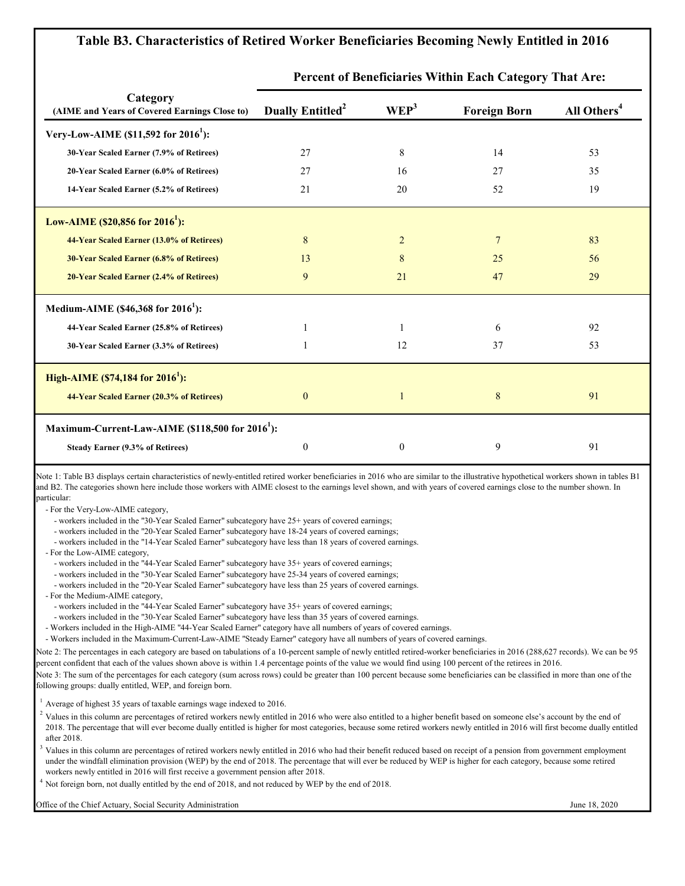| Tabic DJ. Characteristics of Keth ed Worker Dencheiartes Deconnig Flowly Emilited in 2010                                                                                                                                                                                                                                                                                                                                                                                                                                                                                                                                                                                                                                                                                                                                                                                                                                                                                                                                                                                                                                                                                                                                                                                                                                                                                                                                                                                                                                                                                                                          |                              |                  | Percent of Beneficiaries Within Each Category That Are: |                         |
|--------------------------------------------------------------------------------------------------------------------------------------------------------------------------------------------------------------------------------------------------------------------------------------------------------------------------------------------------------------------------------------------------------------------------------------------------------------------------------------------------------------------------------------------------------------------------------------------------------------------------------------------------------------------------------------------------------------------------------------------------------------------------------------------------------------------------------------------------------------------------------------------------------------------------------------------------------------------------------------------------------------------------------------------------------------------------------------------------------------------------------------------------------------------------------------------------------------------------------------------------------------------------------------------------------------------------------------------------------------------------------------------------------------------------------------------------------------------------------------------------------------------------------------------------------------------------------------------------------------------|------------------------------|------------------|---------------------------------------------------------|-------------------------|
| Category<br>(AIME and Years of Covered Earnings Close to)                                                                                                                                                                                                                                                                                                                                                                                                                                                                                                                                                                                                                                                                                                                                                                                                                                                                                                                                                                                                                                                                                                                                                                                                                                                                                                                                                                                                                                                                                                                                                          | Dually Entitled <sup>2</sup> | WEP <sup>3</sup> | <b>Foreign Born</b>                                     | All Others <sup>4</sup> |
| Very-Low-AIME (\$11,592 for 2016 <sup>1</sup> ):                                                                                                                                                                                                                                                                                                                                                                                                                                                                                                                                                                                                                                                                                                                                                                                                                                                                                                                                                                                                                                                                                                                                                                                                                                                                                                                                                                                                                                                                                                                                                                   |                              |                  |                                                         |                         |
| 30-Year Scaled Earner (7.9% of Retirees)                                                                                                                                                                                                                                                                                                                                                                                                                                                                                                                                                                                                                                                                                                                                                                                                                                                                                                                                                                                                                                                                                                                                                                                                                                                                                                                                                                                                                                                                                                                                                                           | 27                           | 8                | 14                                                      | 53                      |
| 20-Year Scaled Earner (6.0% of Retirees)                                                                                                                                                                                                                                                                                                                                                                                                                                                                                                                                                                                                                                                                                                                                                                                                                                                                                                                                                                                                                                                                                                                                                                                                                                                                                                                                                                                                                                                                                                                                                                           | 27                           | 16               | 27                                                      | 35                      |
| 14-Year Scaled Earner (5.2% of Retirees)                                                                                                                                                                                                                                                                                                                                                                                                                                                                                                                                                                                                                                                                                                                                                                                                                                                                                                                                                                                                                                                                                                                                                                                                                                                                                                                                                                                                                                                                                                                                                                           | 21                           | 20               | 52                                                      | 19                      |
| Low-AIME $(\$20,856$ for $2016^1$ ):                                                                                                                                                                                                                                                                                                                                                                                                                                                                                                                                                                                                                                                                                                                                                                                                                                                                                                                                                                                                                                                                                                                                                                                                                                                                                                                                                                                                                                                                                                                                                                               |                              |                  |                                                         |                         |
| 44-Year Scaled Earner (13.0% of Retirees)                                                                                                                                                                                                                                                                                                                                                                                                                                                                                                                                                                                                                                                                                                                                                                                                                                                                                                                                                                                                                                                                                                                                                                                                                                                                                                                                                                                                                                                                                                                                                                          | 8                            | $\overline{2}$   | $\overline{7}$                                          | 83                      |
| 30-Year Scaled Earner (6.8% of Retirees)                                                                                                                                                                                                                                                                                                                                                                                                                                                                                                                                                                                                                                                                                                                                                                                                                                                                                                                                                                                                                                                                                                                                                                                                                                                                                                                                                                                                                                                                                                                                                                           | 13                           | 8                | 25                                                      | 56                      |
| 20-Year Scaled Earner (2.4% of Retirees)                                                                                                                                                                                                                                                                                                                                                                                                                                                                                                                                                                                                                                                                                                                                                                                                                                                                                                                                                                                                                                                                                                                                                                                                                                                                                                                                                                                                                                                                                                                                                                           | 9                            | 21               | 47                                                      | 29                      |
| Medium-AIME $(\$46,368$ for $2016^1$ :                                                                                                                                                                                                                                                                                                                                                                                                                                                                                                                                                                                                                                                                                                                                                                                                                                                                                                                                                                                                                                                                                                                                                                                                                                                                                                                                                                                                                                                                                                                                                                             |                              |                  |                                                         |                         |
| 44-Year Scaled Earner (25.8% of Retirees)                                                                                                                                                                                                                                                                                                                                                                                                                                                                                                                                                                                                                                                                                                                                                                                                                                                                                                                                                                                                                                                                                                                                                                                                                                                                                                                                                                                                                                                                                                                                                                          |                              | 1                | 6                                                       | 92                      |
| 30-Year Scaled Earner (3.3% of Retirees)                                                                                                                                                                                                                                                                                                                                                                                                                                                                                                                                                                                                                                                                                                                                                                                                                                                                                                                                                                                                                                                                                                                                                                                                                                                                                                                                                                                                                                                                                                                                                                           |                              | 12               | 37                                                      | 53                      |
| High-AIME $(\$74,184$ for $2016^1$ :                                                                                                                                                                                                                                                                                                                                                                                                                                                                                                                                                                                                                                                                                                                                                                                                                                                                                                                                                                                                                                                                                                                                                                                                                                                                                                                                                                                                                                                                                                                                                                               |                              |                  |                                                         |                         |
| 44-Year Scaled Earner (20.3% of Retirees)                                                                                                                                                                                                                                                                                                                                                                                                                                                                                                                                                                                                                                                                                                                                                                                                                                                                                                                                                                                                                                                                                                                                                                                                                                                                                                                                                                                                                                                                                                                                                                          | $\mathbf{0}$                 |                  | 8                                                       | 91                      |
| Maximum-Current-Law-AIME (\$118,500 for 2016 <sup>1</sup> ):                                                                                                                                                                                                                                                                                                                                                                                                                                                                                                                                                                                                                                                                                                                                                                                                                                                                                                                                                                                                                                                                                                                                                                                                                                                                                                                                                                                                                                                                                                                                                       |                              |                  |                                                         |                         |
| <b>Steady Earner (9.3% of Retirees)</b>                                                                                                                                                                                                                                                                                                                                                                                                                                                                                                                                                                                                                                                                                                                                                                                                                                                                                                                                                                                                                                                                                                                                                                                                                                                                                                                                                                                                                                                                                                                                                                            | $\theta$                     | $\boldsymbol{0}$ | 9                                                       | 91                      |
| Note 1: Table B3 displays certain characteristics of newly-entitled retired worker beneficiaries in 2016 who are similar to the illustrative hypothetical workers shown in tables B1<br>and B2. The categories shown here include those workers with AIME closest to the earnings level shown, and with years of covered earnings close to the number shown. In<br>particular:<br>- For the Very-Low-AIME category,<br>- workers included in the "30-Year Scaled Earner" subcategory have 25+ years of covered earnings;<br>- workers included in the "20-Year Scaled Earner" subcategory have 18-24 years of covered earnings;<br>- workers included in the "14-Year Scaled Earner" subcategory have less than 18 years of covered earnings.<br>- For the Low-AIME category,<br>- workers included in the "44-Year Scaled Earner" subcategory have 35+ years of covered earnings;<br>- workers included in the "30-Year Scaled Earner" subcategory have 25-34 years of covered earnings;<br>- workers included in the "20-Year Scaled Earner" subcategory have less than 25 years of covered earnings.<br>- For the Medium-AIME category,<br>- workers included in the "44-Year Scaled Earner" subcategory have 35+ years of covered earnings;<br>- workers included in the "30-Year Scaled Earner" subcategory have less than 35 years of covered earnings.<br>- Workers included in the High-AIME "44-Year Scaled Earner" category have all numbers of years of covered earnings.<br>- Workers included in the Maximum-Current-Law-AIME "Steady Earner" category have all numbers of years of covered earnings. |                              |                  |                                                         |                         |
| Note 2: The percentages in each category are based on tabulations of a 10-percent sample of newly entitled retired-worker beneficiaries in 2016 (288,627 records). We can be 95<br>percent confident that each of the values shown above is within 1.4 percentage points of the value we would find using 100 percent of the retirees in 2016.                                                                                                                                                                                                                                                                                                                                                                                                                                                                                                                                                                                                                                                                                                                                                                                                                                                                                                                                                                                                                                                                                                                                                                                                                                                                     |                              |                  |                                                         |                         |
| Note 3: The sum of the percentages for each category (sum across rows) could be greater than 100 percent because some beneficiaries can be classified in more than one of the<br>following groups: dually entitled, WEP, and foreign born.                                                                                                                                                                                                                                                                                                                                                                                                                                                                                                                                                                                                                                                                                                                                                                                                                                                                                                                                                                                                                                                                                                                                                                                                                                                                                                                                                                         |                              |                  |                                                         |                         |

# **Table B3. Characteristics of Retired Worker Beneficiaries Becoming Newly Entitled in 2016**

 $1$  Average of highest 35 years of taxable earnings wage indexed to 2016.

- $^{2}$  Values in this column are percentages of retired workers newly entitled in 2016 who were also entitled to a higher benefit based on someone else's account by the end of 2018. The percentage that will ever become dually entitled is higher for most categories, because some retired workers newly entitled in 2016 will first become dually entitled after 2018.
- $3$  Values in this column are percentages of retired workers newly entitled in 2016 who had their benefit reduced based on receipt of a pension from government employment under the windfall elimination provision (WEP) by the end of 2018. The percentage that will ever be reduced by WEP is higher for each category, because some retired workers newly entitled in 2016 will first receive a government pension after 2018.
- <sup>4</sup> Not foreign born, not dually entitled by the end of 2018, and not reduced by WEP by the end of 2018.

Office of the Chief Actuary, Social Security Administration June 18, 2020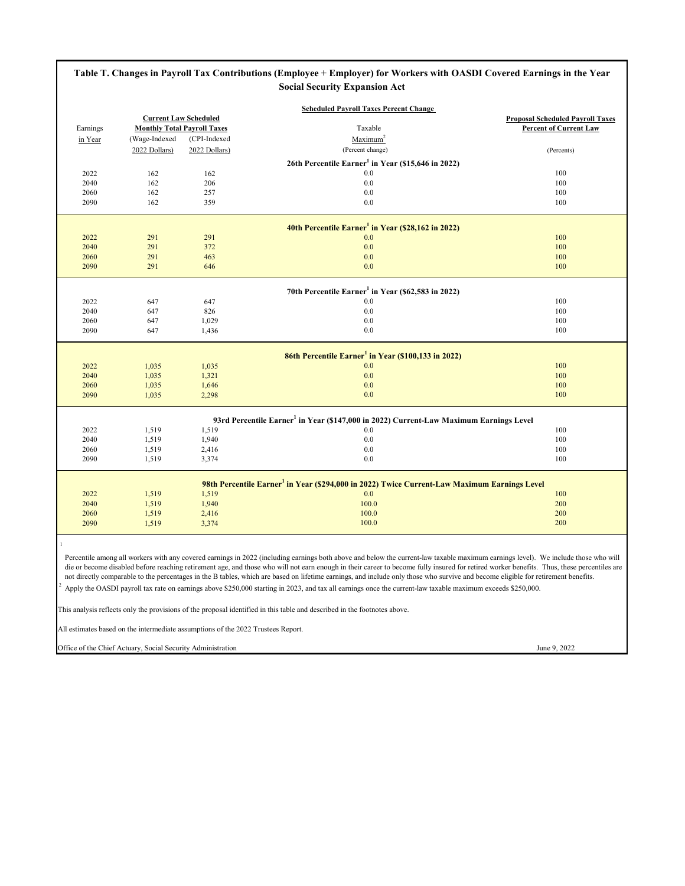This analysis reflects only the provisions of the proposal identified in this table and described in the footnotes above.

## **Proposal Scheduled Payroll Taxes** Earnings Taxable **Percent of Current Law Monthly Total Payroll Taxes** in Year (Wage-Indexed (CPI-Indexed Maximum<sup>2</sup>) 2022 Dollars) 2022 Dollars (Percent change) (Percent change) (Percent change) (Percents)  $2022$  162 162 162 0.0 100 2040 162 206 206 0.0 100 2060 162 257 0.0 100 2090 162 359 369 0.0 100 2022 291 291 0.0 100  $2040$   $291$   $372$   $0.0$  $2060$  291 463 463 0.0 100  $2090$  291 646 0.0  $100$  $2022$  647 647 100 2040 647 826 826 0.0 2060 647 1,029 0.0 100 2090 647 1,436 100  $2022$  and  $1,035$  1,035 1,035 1,035 1,000 1,000 1,000 1,000 1,000 1,000 1,000 1,000 1,000 1,000 1,000 1,000 1,000 1,000 1,000 1,000 1,000 1,000 1,000 1,000 1,000 1,000 1,000 1,000 1,000 1,000 1,000 1,000 1,000 1,000 1,00  $2040$  1,035 1,321 1,321 0.0 100  $2060$  and  $1,035$  1,646 and  $0.0$  100 and  $0.0$  100 and  $0.0$  100 and  $0.0$  $2090$  and  $1,035$   $2,298$  and  $2,00$  and  $2,00$  and  $2,00$  and  $2,00$  and  $2,00$  and  $2,00$  and  $2,00$  and  $2,00$  and  $2,00$  and  $2,00$  and  $2,00$  and  $2,00$  and  $2,00$  and  $2,00$  and  $2,00$  and  $2,00$  and  $2,00$  and  $2,$ 2022 1,519 1,519 1,519 0.0 2040 1,519 1,940 1,940 0.0 2060 1,519 2,416 2,416 0.0 2090 1,519 3,374 100  $2022$  1,519 1,519 1,519 1,519 1,519 1,519 1,519 1,00  $2040$   $1,519$   $1,940$   $200$  $2060$  and  $1,519$  and  $2,416$  and  $200$  and  $200$  and  $200$  and  $200$  $2090$  1,519  $3,374$  200 1 98th Percentile Earner<sup>1</sup> in Year (\$294,000 in 2022) Twice Current-Law Maximum Earnings Level **Table T. Changes in Payroll Tax Contributions (Employee + Employer) for Workers with OASDI Covered Earnings in the Year Social Security Expansion Act Scheduled Payroll Taxes Percent Change Current Law Scheduled** (Percent change) 26th Percentile Earner<sup>1</sup> in Year (\$15,646 in 2022) **40th Percentile Earner1 in Year (\$28,162 in 2022)** 70th Percentile Earner<sup>1</sup> in Year (\$62,583 in 2022) 86th Percentile Earner<sup>1</sup> in Year (\$100,133 in 2022) 93rd Percentile Earner<sup>1</sup> in Year (\$147,000 in 2022) Current-Law Maximum Earnings Level Percentile among all workers with any covered earnings in 2022 (including earnings both above and below the current-law taxable maximum earnings level). We include those who will

All estimates based on the intermediate assumptions of the 2022 Trustees Report.

Office of the Chief Actuary, Social Security Administration June 9, 2022

2 Apply the OASDI payroll tax rate on earnings above \$250,000 starting in 2023, and tax all earnings once the current-law taxable maximum exceeds \$250,000.

die or become disabled before reaching retirement age, and those who will not earn enough in their career to become fully insured for retired worker benefits. Thus, these percentiles are not directly comparable to the percentages in the B tables, which are based on lifetime earnings, and include only those who survive and become eligible for retirement benefits.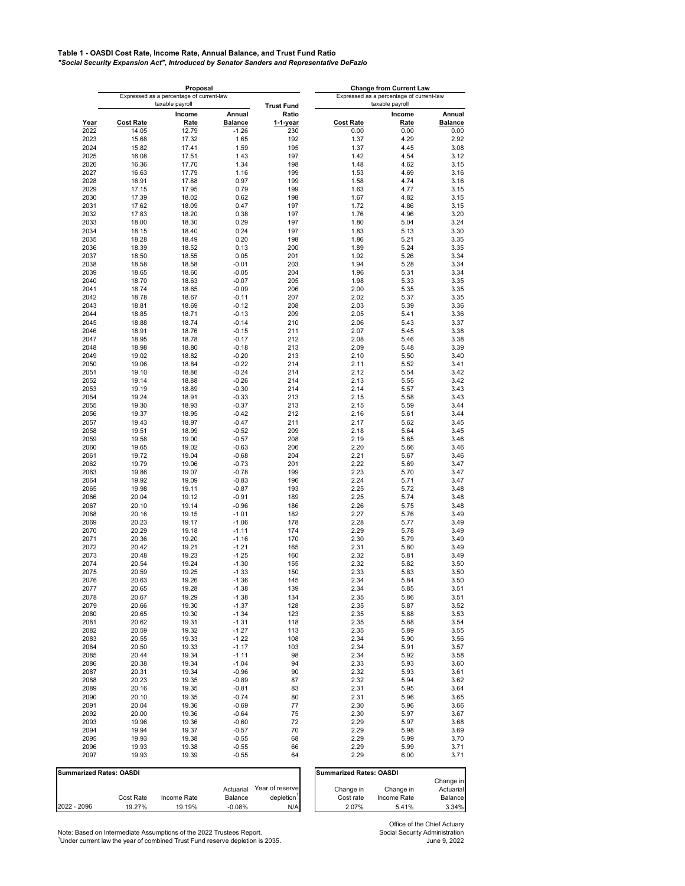**Table 1 - OASDI Cost Rate, Income Rate, Annual Balance, and Trust Fund Ratio** *"Social Security Expansion Act", Introduced by Senator Sanders and Representative DeFazio*

|              |                           | Proposal                                 |                           |                    |                          | <b>Change from Current Law</b>           |                        |
|--------------|---------------------------|------------------------------------------|---------------------------|--------------------|--------------------------|------------------------------------------|------------------------|
|              |                           | Expressed as a percentage of current-law |                           |                    |                          | Expressed as a percentage of current-law |                        |
|              |                           | taxable payroll                          |                           | <b>Trust Fund</b>  |                          | taxable payroll                          |                        |
|              |                           | Income                                   | <b>Annual</b>             | Ratio              |                          | Income                                   | <b>Annual</b>          |
| Year<br>2022 | <b>Cost Rate</b><br>14.05 | <b>Rate</b><br>12.79                     | <b>Balance</b><br>$-1.26$ | $1-1$ -year<br>230 | <b>Cost Rate</b><br>0.00 | Rate<br>0.00                             | <b>Balance</b><br>0.00 |
| 2023         | 15.68                     | 17.32                                    | 1.65                      | 192                | 1.37                     | 4.29                                     | 2.92                   |
| 2024         | 15.82                     | 17.41                                    | 1.59                      | 195                | 1.37                     | 4.45                                     | 3.08                   |
| 2025         | 16.08                     | 17.51                                    | 1.43                      | 197                | 1.42                     | 4.54                                     | 3.12                   |
| 2026         | 16.36                     | 17.70                                    | 1.34                      | 198                | 1.48                     | 4.62                                     | 3.15                   |
| 2027         | 16.63                     | 17.79                                    | 1.16                      | 199                | 1.53                     | 4.69                                     | 3.16                   |
| 2028         | 16.91                     | 17.88                                    | 0.97                      | 199                | 1.58                     | 4.74                                     | 3.16                   |
| 2029         | 17.15                     | 17.95                                    | 0.79                      | 199                | 1.63                     | 4.77                                     | 3.15                   |
| 2030<br>2031 | 17.39<br>17.62            | 18.02<br>18.09                           | 0.62<br>0.47              | 198<br>197         | 1.67<br>1.72             | 4.82<br>4.86                             | 3.15<br>3.15           |
| 2032         | 17.83                     | 18.20                                    | 0.38                      | 197                | 1.76                     | 4.96                                     | 3.20                   |
| 2033         | 18.00                     | 18.30                                    | 0.29                      | 197                | 1.80                     | 5.04                                     | 3.24                   |
| 2034         | 18.15                     | 18.40                                    | 0.24                      | 197                | 1.83                     | 5.13                                     | 3.30                   |
| 2035         | 18.28                     | 18.49                                    | 0.20                      | 198                | 1.86                     | 5.21                                     | 3.35                   |
| 2036         | 18.39                     | 18.52                                    | 0.13                      | 200                | 1.89                     | 5.24                                     | 3.35                   |
| 2037         | 18.50                     | 18.55                                    | 0.05                      | 201                | 1.92                     | 5.26                                     | 3.34                   |
| 2038         | 18.58                     | 18.58                                    | $-0.01$                   | 203                | 1.94                     | 5.28                                     | 3.34                   |
| 2039         | 18.65                     | 18.60                                    | $-0.05$                   | 204                | 1.96                     | 5.31                                     | 3.34                   |
| 2040<br>2041 | 18.70<br>18.74            | 18.63<br>18.65                           | $-0.07$<br>$-0.09$        | 205<br>206         | 1.98<br>2.00             | 5.33<br>5.35                             | 3.35<br>3.35           |
| 2042         | 18.78                     | 18.67                                    | $-0.11$                   | 207                | 2.02                     | 5.37                                     | 3.35                   |
| 2043         | 18.81                     | 18.69                                    | $-0.12$                   | 208                | 2.03                     | 5.39                                     | 3.36                   |
| 2044         | 18.85                     | 18.71                                    | $-0.13$                   | 209                | 2.05                     | 5.41                                     | 3.36                   |
| 2045         | 18.88                     | 18.74                                    | $-0.14$                   | 210                | 2.06                     | 5.43                                     | 3.37                   |
| 2046         | 18.91                     | 18.76                                    | $-0.15$                   | 211                | 2.07                     | 5.45                                     | 3.38                   |
| 2047         | 18.95                     | 18.78                                    | $-0.17$                   | 212                | 2.08                     | 5.46                                     | 3.38                   |
| 2048         | 18.98                     | 18.80                                    | $-0.18$                   | 213                | 2.09                     | 5.48                                     | 3.39                   |
| 2049         | 19.02                     | 18.82                                    | $-0.20$                   | 213                | 2.10                     | 5.50                                     | 3.40                   |
| 2050<br>2051 | 19.06<br>19.10            | 18.84<br>18.86                           | $-0.22$<br>$-0.24$        | 214<br>214         | 2.11<br>2.12             | 5.52<br>5.54                             | 3.41<br>3.42           |
| 2052         | 19.14                     | 18.88                                    | $-0.26$                   | 214                | 2.13                     | 5.55                                     | 3.42                   |
| 2053         | 19.19                     | 18.89                                    | $-0.30$                   | 214                | 2.14                     | 5.57                                     | 3.43                   |
| 2054         | 19.24                     | 18.91                                    | $-0.33$                   | 213                | 2.15                     | 5.58                                     | 3.43                   |
| 2055         | 19.30                     | 18.93                                    | $-0.37$                   | 213                | 2.15                     | 5.59                                     | 3.44                   |
| 2056         | 19.37                     | 18.95                                    | $-0.42$                   | 212                | 2.16                     | 5.61                                     | 3.44                   |
| 2057         | 19.43                     | 18.97                                    | $-0.47$                   | 211                | 2.17                     | 5.62                                     | 3.45                   |
| 2058         | 19.51                     | 18.99                                    | $-0.52$                   | 209                | 2.18                     | 5.64                                     | 3.45                   |
| 2059         | 19.58                     | 19.00                                    | $-0.57$                   | 208                | 2.19                     | 5.65                                     | 3.46                   |
| 2060<br>2061 | 19.65<br>19.72            | 19.02<br>19.04                           | $-0.63$<br>$-0.68$        | 206<br>204         | 2.20<br>2.21             | 5.66<br>5.67                             | 3.46<br>3.46           |
| 2062         | 19.79                     | 19.06                                    | $-0.73$                   | 201                | 2.22                     | 5.69                                     | 3.47                   |
| 2063         | 19.86                     | 19.07                                    | $-0.78$                   | 199                | 2.23                     | 5.70                                     | 3.47                   |
| 2064         | 19.92                     | 19.09                                    | $-0.83$                   | 196                | 2.24                     | 5.71                                     | 3.47                   |
| 2065         | 19.98                     | 19.11                                    | $-0.87$                   | 193                | 2.25                     | 5.72                                     | 3.48                   |
| 2066         | 20.04                     | 19.12                                    | $-0.91$                   | 189                | 2.25                     | 5.74                                     | 3.48                   |
| 2067         | 20.10                     | 19.14                                    | $-0.96$                   | 186                | 2.26                     | 5.75                                     | 3.48                   |
| 2068         | 20.16                     | 19.15                                    | $-1.01$                   | 182                | 2.27                     | 5.76                                     | 3.49                   |
| 2069<br>2070 | 20.23<br>20.29            | 19.17<br>19.18                           | $-1.06$                   | 178<br>174         | 2.28<br>2.29             | 5.77<br>5.78                             | 3.49<br>3.49           |
| 2071         | 20.36                     | 19.20                                    | $-1.11$<br>$-1.16$        | 170                | 2.30                     | 5.79                                     | 3.49                   |
| 2072         | 20.42                     | 19.21                                    | $-1.21$                   | 165                | 2.31                     | 5.80                                     | 3.49                   |
| 2073         | 20.48                     | 19.23                                    | $-1.25$                   | 160                | 2.32                     | 5.81                                     | 3.49                   |
| 2074         | 20.54                     | 19.24                                    | $-1.30$                   | 155                | 2.32                     | 5.82                                     | 3.50                   |
| 2075         | 20.59                     | 19.25                                    | $-1.33$                   | 150                | 2.33                     | 5.83                                     | 3.50                   |
| 2076         | 20.63                     | 19.26                                    | $-1.36$                   | 145                | 2.34                     | 5.84                                     | 3.50                   |
| 2077         | 20.65                     | 19.28                                    | $-1.38$                   | 139                | 2.34                     | 5.85                                     | 3.51                   |
| 2078         | 20.67                     | 19.29                                    | $-1.38$                   | 134                | 2.35                     | 5.86                                     | 3.51                   |
| 2079         | 20.66                     | 19.30                                    | $-1.37$                   | 128                | 2.35                     | 5.87                                     | 3.52                   |
| 2080<br>2081 | 20.65<br>20.62            | 19.30<br>19.31                           | $-1.34$<br>$-1.31$        | 123<br>118         | 2.35<br>2.35             | 5.88<br>5.88                             | 3.53<br>3.54           |
| 2082         | 20.59                     | 19.32                                    | $-1.27$                   | 113                | 2.35                     | 5.89                                     | 3.55                   |
| 2083         | 20.55                     | 19.33                                    | $-1.22$                   | 108                | 2.34                     | 5.90                                     | 3.56                   |
| 2084         | 20.50                     | 19.33                                    | $-1.17$                   | 103                | 2.34                     | 5.91                                     | 3.57                   |
| 2085         | 20.44                     | 19.34                                    | $-1.11$                   | 98                 | 2.34                     | 5.92                                     | 3.58                   |
| 2086         | 20.38                     | 19.34                                    | $-1.04$                   | 94                 | 2.33                     | 5.93                                     | 3.60                   |
| 2087         | 20.31                     | 19.34                                    | $-0.96$                   | 90                 | 2.32                     | 5.93                                     | 3.61                   |
| 2088         | 20.23                     | 19.35                                    | $-0.89$                   | 87                 | 2.32                     | 5.94                                     | 3.62                   |
| 2089         | 20.16                     | 19.35                                    | $-0.81$                   | 83                 | 2.31                     | 5.95                                     | 3.64                   |
| 2090<br>2091 | 20.10<br>20.04            | 19.35                                    | $-0.74$                   | 80<br>77           | 2.31<br>2.30             | 5.96                                     | 3.65                   |
| 2092         | 20.00                     | 19.36<br>19.36                           | $-0.69$<br>$-0.64$        | 75                 | 2.30                     | 5.96<br>5.97                             | 3.66<br>3.67           |
| 2093         | 19.96                     | 19.36                                    | $-0.60$                   | 72                 | 2.29                     | 5.97                                     | 3.68                   |
| 2094         | 19.94                     | 19.37                                    | $-0.57$                   | 70                 | 2.29                     | 5.98                                     | 3.69                   |
| 2095         | 19.93                     | 19.38                                    | $-0.55$                   | 68                 | 2.29                     | 5.99                                     | 3.70                   |
| 2096         | 19.93                     | 19.38                                    | $-0.55$                   | 66                 | 2.29                     | 5.99                                     | 3.71                   |
| 2097         | 19.93                     | 19.39                                    | $-0.55$                   | 64                 | 2.29                     | 6.00                                     | 3.71                   |

| <b>Summarized Rates: OASDI</b> |                                    |                                                             |                             |                               | <b>Summarized Rates: OASDI</b>     |                |
|--------------------------------|------------------------------------|-------------------------------------------------------------|-----------------------------|-------------------------------|------------------------------------|----------------|
|                                | Cost Rate                          | Income Rate                                                 | Actuarial<br><b>Balance</b> | Year of reserve<br>depletion' | Change in<br>Cost rate             | Char<br>Income |
| $\sim$<br>nnnn                 | $\sim$ $\sim$ $\sim$ $\sim$ $\sim$ | $\overline{1}$ $\overline{2}$ $\overline{3}$ $\overline{1}$ | $\sim$ $\sim$ $\sim$ $\sim$ | <b></b>                       | $\sim$ $\sim$ $\sim$ $\sim$ $\sim$ |                |

|             | <b>Summarized Rates: OASDI</b> |             |           |                 |  |           | <b>Summarized Rates: OASDI</b> |                                       |
|-------------|--------------------------------|-------------|-----------|-----------------|--|-----------|--------------------------------|---------------------------------------|
|             |                                |             |           |                 |  |           |                                | Change in $\vert\hspace{-.08in}\vert$ |
|             |                                |             | Actuarial | Year of reserve |  | Change in | Change in                      | Actuarial                             |
|             | Cost Rate                      | Income Rate | Balance   | depletion       |  | Cost rate | Income Rate                    | <b>Balance</b>                        |
| 2022 - 2096 | 19.27%                         | 19.19%      | $-0.08%$  | N/A             |  | 2.07%     | 5.41%                          | 3.34%                                 |

Note: Based on Intermediate Assumptions of the 2022 Trustees Report.<br><sup>1</sup>Under current law the year of combined Trust Fund reserve depletion is 2035.<br>June 9, 2022  $^{\text{1}}$ Under current law the year of combined Trust Fund reserve depletion is 2035.  $\,$ 

Office of the Chief Actuary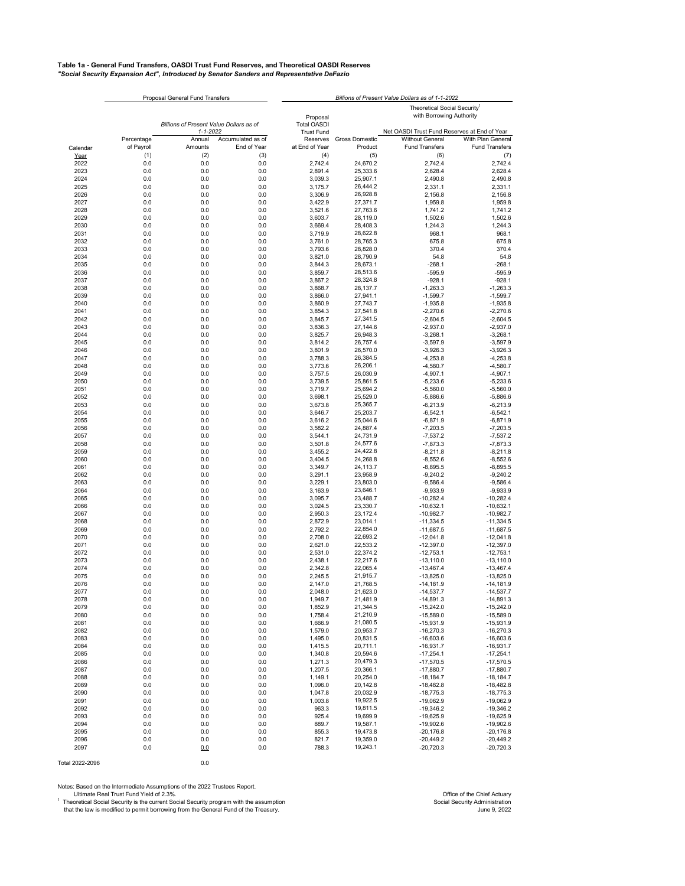## **Table 1a - General Fund Transfers, OASDI Trust Fund Reserves, and Theoretical OASDI Reserves** *"Social Security Expansion Act", Introduced by Senator Sanders and Representative DeFazio*

 Ultimate Real Trust Fund Yield of 2.3%. Office of the Chief Actuary  $^\text{1}$  Theoretical Social Security is the current Social Security program with the assumption  $\,$ that the law is modified to permit borrowing from the General Fund of the Treasury.<br>
June 9, 2022

|              |                    | <b>Proposal General Fund Transfers</b>                           |                   |                               |                       | Billions of Present Value Dollars as of 1-1-2022 |                            |
|--------------|--------------------|------------------------------------------------------------------|-------------------|-------------------------------|-----------------------|--------------------------------------------------|----------------------------|
|              |                    |                                                                  |                   |                               |                       | Theoretical Social Security <sup>1</sup>         |                            |
|              |                    |                                                                  |                   | Proposal                      |                       | with Borrowing Authority                         |                            |
|              |                    | <b>Billions of Present Value Dollars as of</b><br>$1 - 1 - 2022$ |                   | <b>Total OASDI</b>            |                       | Net OASDI Trust Fund Reserves at End of Year     |                            |
|              | Percentage         | Annual                                                           | Accumulated as of | <b>Trust Fund</b><br>Reserves | <b>Gross Domestic</b> | <b>Without General</b>                           | With Plan General          |
| Calendar     | of Payroll         | Amounts                                                          | End of Year       | at End of Year                | Product               | <b>Fund Transfers</b>                            | <b>Fund Transfers</b>      |
| Year         | (1)                | (2)                                                              | (3)               | (4)                           | (5)                   | (6)                                              | (7)                        |
| 2022         | 0.0                | 0.0                                                              | 0.0               | 2,742.4                       | 24,670.2              | 2,742.4                                          | 2,742.4                    |
| 2023         | 0.0                | 0.0                                                              | 0.0               | 2,891.4                       | 25,333.6              | 2,628.4                                          | 2,628.4                    |
| 2024<br>2025 | 0.0<br>0.0         | 0.0<br>0.0                                                       | 0.0<br>0.0        | 3,039.3<br>3,175.7            | 25,907.1<br>26,444.2  | 2,490.8<br>2,331.1                               | 2,490.8<br>2,331.1         |
| 2026         | 0.0                | 0.0                                                              | 0.0               | 3,306.9                       | 26,928.8              | 2,156.8                                          | 2,156.8                    |
| 2027         | 0.0                | 0.0                                                              | 0.0               | 3,422.9                       | 27,371.7              | 1,959.8                                          | 1,959.8                    |
| 2028         | 0.0                | 0.0                                                              | 0.0               | 3,521.6                       | 27,763.6              | 1,741.2                                          | 1,741.2                    |
| 2029<br>2030 | $0.0\,$<br>$0.0\,$ | 0.0<br>0.0                                                       | 0.0<br>0.0        | 3,603.7<br>3,669.4            | 28,119.0<br>28,408.3  | 1,502.6<br>1,244.3                               | 1,502.6<br>1,244.3         |
| 2031         | 0.0                | 0.0                                                              | 0.0               | 3,719.9                       | 28,622.8              | 968.1                                            | 968.1                      |
| 2032         | 0.0                | 0.0                                                              | 0.0               | 3,761.0                       | 28,765.3              | 675.8                                            | 675.8                      |
| 2033         | 0.0                | 0.0                                                              | 0.0               | 3,793.6                       | 28,828.0              | 370.4                                            | 370.4                      |
| 2034         | $0.0\,$            | 0.0                                                              | 0.0               | 3,821.0                       | 28,790.9              | 54.8                                             | 54.8                       |
| 2035<br>2036 | $0.0\,$<br>0.0     | 0.0<br>0.0                                                       | 0.0<br>0.0        | 3,844.3<br>3,859.7            | 28,673.1<br>28,513.6  | $-268.1$<br>$-595.9$                             | $-268.1$<br>$-595.9$       |
| 2037         | 0.0                | 0.0                                                              | 0.0               | 3,867.2                       | 28,324.8              | $-928.1$                                         | $-928.1$                   |
| 2038         | 0.0                | 0.0                                                              | 0.0               | 3,868.7                       | 28,137.7              | $-1,263.3$                                       | $-1,263.3$                 |
| 2039         | $0.0\,$            | 0.0                                                              | 0.0               | 3,866.0                       | 27,941.1              | $-1,599.7$                                       | $-1,599.7$                 |
| 2040         | 0.0                | 0.0                                                              | 0.0               | 3,860.9                       | 27,743.7              | $-1,935.8$                                       | $-1,935.8$                 |
| 2041<br>2042 | $0.0\,$<br>0.0     | 0.0<br>0.0                                                       | 0.0<br>0.0        | 3,854.3<br>3,845.7            | 27,541.8<br>27,341.5  | $-2,270.6$<br>$-2,604.5$                         | $-2,270.6$<br>$-2,604.5$   |
| 2043         | 0.0                | 0.0                                                              | 0.0               | 3,836.3                       | 27,144.6              | $-2,937.0$                                       | $-2,937.0$                 |
| 2044         | $0.0\,$            | 0.0                                                              | 0.0               | 3,825.7                       | 26,948.3              | $-3,268.1$                                       | $-3,268.1$                 |
| 2045         | 0.0                | 0.0                                                              | 0.0               | 3,814.2                       | 26,757.4              | $-3,597.9$                                       | $-3,597.9$                 |
| 2046         | 0.0                | 0.0                                                              | 0.0               | 3,801.9                       | 26,570.0              | $-3,926.3$                                       | $-3,926.3$                 |
| 2047<br>2048 | 0.0<br>0.0         | 0.0<br>0.0                                                       | 0.0<br>0.0        | 3,788.3<br>3,773.6            | 26,384.5<br>26,206.1  | $-4,253.8$<br>$-4,580.7$                         | $-4,253.8$<br>$-4,580.7$   |
| 2049         | $0.0\,$            | $0.0\,$                                                          | 0.0               | 3,757.5                       | 26,030.9              | $-4,907.1$                                       | $-4,907.1$                 |
| 2050         | $0.0\,$            | 0.0                                                              | 0.0               | 3,739.5                       | 25,861.5              | $-5,233.6$                                       | $-5,233.6$                 |
| 2051         | 0.0                | 0.0                                                              | 0.0               | 3,719.7                       | 25,694.2              | $-5,560.0$                                       | $-5,560.0$                 |
| 2052         | 0.0                | 0.0                                                              | 0.0               | 3,698.1                       | 25,529.0              | $-5,886.6$                                       | $-5,886.6$                 |
| 2053<br>2054 | 0.0<br>$0.0\,$     | 0.0<br>0.0                                                       | 0.0<br>0.0        | 3,673.8<br>3,646.7            | 25,365.7<br>25,203.7  | $-6,213.9$<br>$-6,542.1$                         | $-6,213.9$<br>$-6,542.1$   |
| 2055         | 0.0                | 0.0                                                              | 0.0               | 3,616.2                       | 25,044.6              | $-6,871.9$                                       | $-6,871.9$                 |
| 2056         | 0.0                | 0.0                                                              | 0.0               | 3,582.2                       | 24,887.4              | $-7,203.5$                                       | $-7,203.5$                 |
| 2057         | 0.0                | 0.0                                                              | 0.0               | 3,544.1                       | 24,731.9              | $-7,537.2$                                       | $-7,537.2$                 |
| 2058<br>2059 | 0.0<br>0.0         | 0.0<br>0.0                                                       | 0.0<br>0.0        | 3,501.8<br>3,455.2            | 24,577.6<br>24,422.8  | $-7,873.3$<br>$-8,211.8$                         | $-7,873.3$<br>$-8,211.8$   |
| 2060         | 0.0                | 0.0                                                              | 0.0               | 3,404.5                       | 24,268.8              | $-8,552.6$                                       | $-8,552.6$                 |
| 2061         | $0.0\,$            | 0.0                                                              | 0.0               | 3,349.7                       | 24,113.7              | $-8,895.5$                                       | $-8,895.5$                 |
| 2062         | 0.0                | 0.0                                                              | 0.0               | 3,291.1                       | 23,958.9              | $-9,240.2$                                       | $-9,240.2$                 |
| 2063         | 0.0                | 0.0                                                              | 0.0               | 3,229.1                       | 23,803.0              | $-9,586.4$                                       | $-9,586.4$                 |
| 2064<br>2065 | 0.0<br>0.0         | 0.0<br>0.0                                                       | 0.0<br>0.0        | 3,163.9<br>3,095.7            | 23,646.1<br>23,488.7  | $-9,933.9$<br>$-10,282.4$                        | $-9,933.9$<br>$-10,282.4$  |
| 2066         | 0.0                | 0.0                                                              | 0.0               | 3,024.5                       | 23,330.7              | $-10,632.1$                                      | $-10,632.1$                |
| 2067         | 0.0                | 0.0                                                              | 0.0               | 2,950.3                       | 23,172.4              | $-10,982.7$                                      | $-10,982.7$                |
| 2068         | 0.0                | 0.0                                                              | 0.0               | 2,872.9                       | 23,014.1              | $-11,334.5$                                      | $-11,334.5$                |
| 2069         | 0.0                | 0.0                                                              | 0.0               | 2,792.2                       | 22,854.0              | $-11,687.5$                                      | $-11,687.5$                |
| 2070<br>2071 | 0.0<br>0.0         | 0.0<br>0.0                                                       | 0.0<br>0.0        | 2,708.0<br>2,621.0            | 22,693.2<br>22,533.2  | $-12,041.8$<br>$-12,397.0$                       | $-12,041.8$<br>$-12,397.0$ |
| 2072         | 0.0                | 0.0                                                              | 0.0               | 2,531.0                       | 22,374.2              | $-12,753.1$                                      | $-12,753.1$                |
| 2073         | 0.0                | 0.0                                                              | 0.0               | 2,438.1                       | 22,217.6              | $-13,110.0$                                      | $-13,110.0$                |
| 2074         | 0.0                | 0.0                                                              | 0.0               | 2,342.8                       | 22,065.4              | $-13,467.4$                                      | $-13,467.4$                |
| 2075<br>2076 | 0.0<br>0.0         | 0.0<br>0.0                                                       | 0.0<br>0.0        | 2,245.5<br>2,147.0            | 21,915.7<br>21,768.5  | $-13,825.0$<br>$-14,181.9$                       | $-13,825.0$<br>$-14,181.9$ |
| 2077         | 0.0                | 0.0                                                              | 0.0               | 2,048.0                       | 21,623.0              | $-14,537.7$                                      | $-14,537.7$                |
| 2078         | 0.0                | 0.0                                                              | 0.0               | 1,949.7                       | 21,481.9              | $-14,891.3$                                      | $-14,891.3$                |
| 2079         | 0.0                | 0.0                                                              | 0.0               | 1,852.9                       | 21,344.5              | $-15,242.0$                                      | $-15,242.0$                |
| 2080         | 0.0                | 0.0                                                              | 0.0               | 1,758.4                       | 21,210.9              | $-15,589.0$                                      | $-15,589.0$                |
| 2081<br>2082 | 0.0<br>$0.0\,$     | 0.0<br>0.0                                                       | 0.0<br>0.0        | 1,666.9<br>1,579.0            | 21,080.5<br>20,953.7  | $-15,931.9$<br>$-16,270.3$                       | $-15,931.9$<br>$-16,270.3$ |
| 2083         | $0.0\,$            | $0.0\,$                                                          | 0.0               | 1,495.0                       | 20,831.5              | $-16,603.6$                                      | $-16,603.6$                |
| 2084         | $0.0\,$            | $0.0\,$                                                          | 0.0               | 1,415.5                       | 20,711.1              | $-16,931.7$                                      | $-16,931.7$                |
| 2085         | 0.0                | 0.0                                                              | 0.0               | 1,340.8                       | 20,594.6              | $-17,254.1$                                      | $-17,254.1$                |
| 2086         | $0.0\,$            | 0.0                                                              | 0.0               | 1,271.3                       | 20,479.3              | $-17,570.5$                                      | $-17,570.5$                |
| 2087<br>2088 | $0.0\,$<br>$0.0\,$ | $0.0\,$<br>$0.0\,$                                               | 0.0<br>0.0        | 1,207.5<br>1,149.1            | 20,366.1<br>20,254.0  | $-17,880.7$<br>$-18,184.7$                       | $-17,880.7$<br>$-18,184.7$ |
| 2089         | $0.0\,$            | 0.0                                                              | 0.0               | 1,096.0                       | 20,142.8              | $-18,482.8$                                      | $-18,482.8$                |
| 2090         | 0.0                | 0.0                                                              | 0.0               | 1,047.8                       | 20,032.9              | $-18,775.3$                                      | $-18,775.3$                |
| 2091         | $0.0\,$            | 0.0                                                              | 0.0               | 1,003.8                       | 19,922.5              | $-19,062.9$                                      | $-19,062.9$                |
| 2092         | $0.0\,$            | $0.0\,$                                                          | 0.0               | 963.3                         | 19,811.5              | $-19,346.2$                                      | $-19,346.2$                |
| 2093<br>2094 | 0.0<br>$0.0\,$     | $0.0\,$<br>$0.0\,$                                               | 0.0<br>0.0        | 925.4<br>889.7                | 19,699.9<br>19,587.1  | $-19,625.9$<br>$-19,902.6$                       | $-19,625.9$<br>$-19,902.6$ |
| 2095         | 0.0                | 0.0                                                              | 0.0               | 855.3                         | 19,473.8              | $-20,176.8$                                      | $-20,176.8$                |
| 2096         | $0.0\,$            | 0.0                                                              | 0.0               | 821.7                         | 19,359.0              | $-20,449.2$                                      | $-20,449.2$                |
| 2097         | 0.0                | 0.0                                                              | 0.0               | 788.3                         | 19,243.1              | $-20,720.3$                                      | $-20,720.3$                |

Total 2022-2096 0.0

Notes: Based on the Intermediate Assumptions of the 2022 Trustees Report.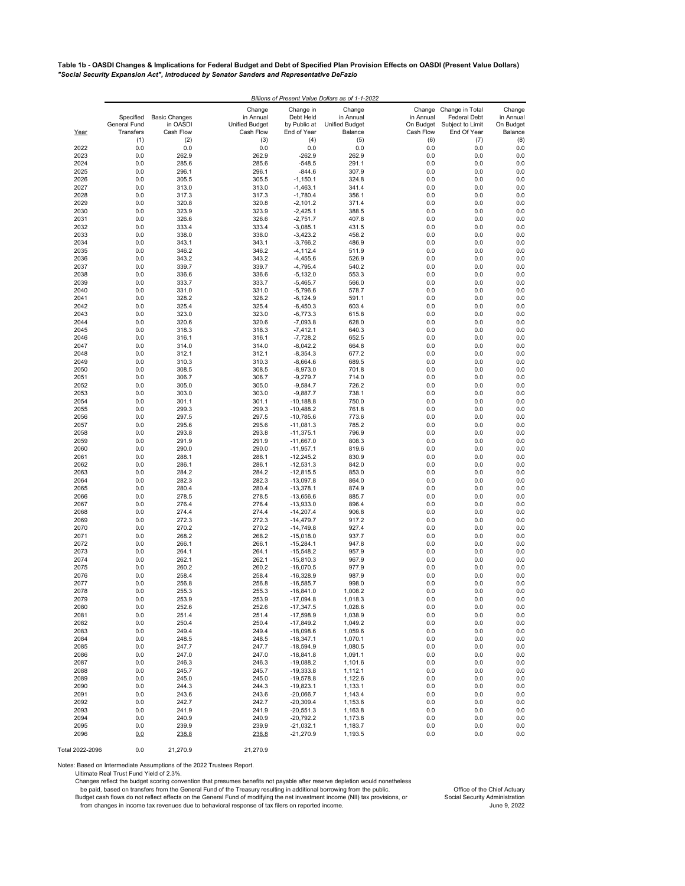**Table 1b - OASDI Changes & Implications for Federal Budget and Debt of Specified Plan Provision Effects on OASDI (Present Value Dollars)** *"Social Security Expansion Act", Introduced by Senator Sanders and Representative DeFazio*

|              |                     |                      |                       |                            | Billions of Present Value Dollars as of 1-1-2022 |            |                            |                |
|--------------|---------------------|----------------------|-----------------------|----------------------------|--------------------------------------------------|------------|----------------------------|----------------|
|              |                     |                      | Change                | Change in                  | Change                                           | Change     | Change in Total            | Change         |
|              | Specified           | <b>Basic Changes</b> | in Annual             | Debt Held                  | in Annual                                        | in Annual  | <b>Federal Debt</b>        | in Annual      |
|              | <b>General Fund</b> | in OASDI             | <b>Unified Budget</b> | by Public at               | <b>Unified Budget</b>                            |            | On Budget Subject to Limit | On Budget      |
| Year         | Transfers           | Cash Flow            | Cash Flow             | End of Year                | Balance                                          | Cash Flow  | End Of Year                | <b>Balance</b> |
| 2022         | (1)<br>0.0          | (2)<br>0.0           | (3)<br>0.0            | (4)<br>0.0                 | (5)<br>0.0                                       | (6)<br>0.0 | (7)<br>0.0                 | (8)<br>$0.0\,$ |
| 2023         | 0.0                 | 262.9                | 262.9                 | $-262.9$                   | 262.9                                            | $0.0\,$    | 0.0                        | 0.0            |
| 2024         | 0.0                 | 285.6                | 285.6                 | $-548.5$                   | 291.1                                            | $0.0\,$    | 0.0                        | 0.0            |
| 2025         | 0.0                 | 296.1                | 296.1                 | $-844.6$                   | 307.9                                            | 0.0        | 0.0                        | 0.0            |
| 2026         | 0.0                 | 305.5                | 305.5                 | $-1,150.1$                 | 324.8                                            | 0.0        | 0.0                        | 0.0            |
| 2027         | 0.0                 | 313.0                | 313.0                 | $-1,463.1$                 | 341.4                                            | $0.0\,$    | 0.0                        | 0.0            |
| 2028         | 0.0                 | 317.3                | 317.3                 | $-1,780.4$                 | 356.1                                            | 0.0        | 0.0                        | 0.0            |
| 2029         | 0.0                 | 320.8                | 320.8                 | $-2,101.2$                 | 371.4                                            | $0.0\,$    | 0.0                        | 0.0            |
| 2030         | 0.0                 | 323.9                | 323.9                 | $-2,425.1$                 | 388.5                                            | 0.0        | 0.0                        | 0.0            |
| 2031         | 0.0                 | 326.6                | 326.6                 | $-2,751.7$                 | 407.8                                            | 0.0        | 0.0                        | 0.0            |
| 2032<br>2033 | 0.0<br>0.0          | 333.4<br>338.0       | 333.4<br>338.0        | $-3,085.1$<br>$-3,423.2$   | 431.5<br>458.2                                   | 0.0<br>0.0 | 0.0<br>0.0                 | 0.0<br>0.0     |
| 2034         | 0.0                 | 343.1                | 343.1                 | $-3,766.2$                 | 486.9                                            | $0.0\,$    | 0.0                        | 0.0            |
| 2035         | 0.0                 | 346.2                | 346.2                 | $-4, 112.4$                | 511.9                                            | $0.0\,$    | 0.0                        | 0.0            |
| 2036         | 0.0                 | 343.2                | 343.2                 | $-4,455.6$                 | 526.9                                            | 0.0        | 0.0                        | 0.0            |
| 2037         | 0.0                 | 339.7                | 339.7                 | $-4,795.4$                 | 540.2                                            | 0.0        | 0.0                        | 0.0            |
| 2038         | 0.0                 | 336.6                | 336.6                 | $-5,132.0$                 | 553.3                                            | 0.0        | 0.0                        | 0.0            |
| 2039         | 0.0                 | 333.7                | 333.7                 | $-5,465.7$                 | 566.0                                            | 0.0        | 0.0                        | 0.0            |
| 2040         | 0.0                 | 331.0                | 331.0                 | $-5,796.6$                 | 578.7                                            | 0.0        | 0.0                        | 0.0            |
| 2041         | 0.0                 | 328.2                | 328.2                 | $-6,124.9$                 | 591.1                                            | 0.0        | 0.0                        | 0.0            |
| 2042         | 0.0                 | 325.4                | 325.4                 | $-6,450.3$                 | 603.4                                            | 0.0        | 0.0                        | 0.0            |
| 2043<br>2044 | 0.0                 | 323.0                | 323.0                 | $-6,773.3$                 | 615.8                                            | 0.0        | 0.0                        | 0.0            |
| 2045         | 0.0<br>0.0          | 320.6<br>318.3       | 320.6<br>318.3        | $-7,093.8$<br>$-7,412.1$   | 628.0<br>640.3                                   | 0.0<br>0.0 | 0.0<br>0.0                 | 0.0<br>0.0     |
| 2046         | 0.0                 | 316.1                | 316.1                 | $-7,728.2$                 | 652.5                                            | 0.0        | 0.0                        | 0.0            |
| 2047         | 0.0                 | 314.0                | 314.0                 | $-8,042.2$                 | 664.8                                            | 0.0        | 0.0                        | 0.0            |
| 2048         | 0.0                 | 312.1                | 312.1                 | $-8,354.3$                 | 677.2                                            | 0.0        | 0.0                        | 0.0            |
| 2049         | 0.0                 | 310.3                | 310.3                 | $-8,664.6$                 | 689.5                                            | 0.0        | 0.0                        | 0.0            |
| 2050         | 0.0                 | 308.5                | 308.5                 | $-8,973.0$                 | 701.8                                            | 0.0        | 0.0                        | 0.0            |
| 2051         | 0.0                 | 306.7                | 306.7                 | $-9,279.7$                 | 714.0                                            | 0.0        | 0.0                        | 0.0            |
| 2052         | 0.0                 | 305.0                | 305.0                 | $-9,584.7$                 | 726.2                                            | 0.0        | 0.0                        | 0.0            |
| 2053         | 0.0                 | 303.0                | 303.0                 | $-9,887.7$                 | 738.1                                            | 0.0        | 0.0                        | 0.0            |
| 2054         | 0.0                 | 301.1                | 301.1                 | $-10,188.8$                | 750.0                                            | 0.0        | 0.0                        | 0.0            |
| 2055<br>2056 | 0.0<br>0.0          | 299.3<br>297.5       | 299.3<br>297.5        | $-10,488.2$<br>$-10,785.6$ | 761.8<br>773.6                                   | 0.0<br>0.0 | 0.0<br>0.0                 | 0.0<br>0.0     |
| 2057         | 0.0                 | 295.6                | 295.6                 | $-11,081.3$                | 785.2                                            | 0.0        | 0.0                        | 0.0            |
| 2058         | 0.0                 | 293.8                | 293.8                 | $-11,375.1$                | 796.9                                            | 0.0        | 0.0                        | 0.0            |
| 2059         | 0.0                 | 291.9                | 291.9                 | $-11,667.0$                | 808.3                                            | 0.0        | 0.0                        | 0.0            |
| 2060         | 0.0                 | 290.0                | 290.0                 | $-11,957.1$                | 819.6                                            | 0.0        | 0.0                        | 0.0            |
| 2061         | 0.0                 | 288.1                | 288.1                 | $-12,245.2$                | 830.9                                            | 0.0        | 0.0                        | 0.0            |
| 2062         | 0.0                 | 286.1                | 286.1                 | $-12,531.3$                | 842.0                                            | 0.0        | 0.0                        | 0.0            |
| 2063         | 0.0                 | 284.2                | 284.2                 | $-12,815.5$                | 853.0                                            | 0.0        | 0.0                        | 0.0            |
| 2064         | 0.0                 | 282.3                | 282.3                 | $-13,097.8$                | 864.0                                            | 0.0        | 0.0                        | 0.0            |
| 2065<br>2066 | 0.0<br>0.0          | 280.4<br>278.5       | 280.4<br>278.5        | $-13,378.1$<br>$-13,656.6$ | 874.9<br>885.7                                   | 0.0<br>0.0 | 0.0<br>0.0                 | 0.0<br>0.0     |
| 2067         | 0.0                 | 276.4                | 276.4                 | $-13,933.0$                | 896.4                                            | 0.0        | 0.0                        | 0.0            |
| 2068         | 0.0                 | 274.4                | 274.4                 | $-14,207.4$                | 906.8                                            | 0.0        | 0.0                        | 0.0            |
| 2069         | 0.0                 | 272.3                | 272.3                 | $-14,479.7$                | 917.2                                            | 0.0        | 0.0                        | 0.0            |
| 2070         | 0.0                 | 270.2                | 270.2                 | $-14,749.8$                | 927.4                                            | 0.0        | 0.0                        | 0.0            |
| 2071         | 0.0                 | 268.2                | 268.2                 | $-15,018.0$                | 937.7                                            | 0.0        | 0.0                        | 0.0            |
| 2072         | 0.0                 | 266.1                | 266.1                 | $-15,284.1$                | 947.8                                            | 0.0        | 0.0                        | 0.0            |
| 2073         | 0.0                 | 264.1                | 264.1                 | $-15,548.2$                | 957.9                                            | 0.0        | 0.0                        | 0.0            |
| 2074<br>2075 | 0.0<br>0.0          | 262.1<br>260.2       | 262.1<br>260.2        | $-15,810.3$<br>$-16,070.5$ | 967.9<br>977.9                                   | 0.0        | 0.0                        | 0.0            |
| 2076         | 0.0                 | 258.4                | 258.4                 | $-16,328.9$                | 987.9                                            | 0.0<br>0.0 | 0.0<br>0.0                 | 0.0<br>0.0     |
| 2077         | 0.0                 | 256.8                | 256.8                 | $-16,585.7$                | 998.0                                            | 0.0        | 0.0                        | 0.0            |
| 2078         | 0.0                 | 255.3                | 255.3                 | $-16,841.0$                | 1,008.2                                          | 0.0        | 0.0                        | 0.0            |
| 2079         | 0.0                 | 253.9                | 253.9                 | $-17,094.8$                | 1,018.3                                          | 0.0        | 0.0                        | 0.0            |
| 2080         | 0.0                 | 252.6                | 252.6                 | $-17,347.5$                | 1,028.6                                          | 0.0        | 0.0                        | 0.0            |
| 2081         | 0.0                 | 251.4                | 251.4                 | $-17,598.9$                | 1,038.9                                          | 0.0        | 0.0                        | 0.0            |
| 2082         | 0.0                 | 250.4                | 250.4                 | $-17,849.2$                | 1,049.2                                          | 0.0        | 0.0                        | 0.0            |
| 2083         | 0.0                 | 249.4                | 249.4                 | $-18,098.6$                | 1,059.6                                          | 0.0        | 0.0                        | 0.0            |
| 2084         | 0.0                 | 248.5                | 248.5                 | $-18,347.1$                | 1,070.1                                          | 0.0        | 0.0                        | 0.0            |
| 2085<br>2086 | 0.0<br>0.0          | 247.7<br>247.0       | 247.7<br>247.0        | $-18,594.9$<br>$-18,841.8$ | 1,080.5<br>1,091.1                               | 0.0<br>0.0 | 0.0<br>0.0                 | 0.0<br>0.0     |
| 2087         | 0.0                 | 246.3                | 246.3                 | $-19,088.2$                | 1,101.6                                          | 0.0        | 0.0                        | 0.0            |
| 2088         | 0.0                 | 245.7                | 245.7                 | $-19,333.8$                | 1,112.1                                          | 0.0        | 0.0                        | 0.0            |
| 2089         | 0.0                 | 245.0                | 245.0                 | $-19,578.8$                | 1,122.6                                          | 0.0        | 0.0                        | 0.0            |
| 2090         | 0.0                 | 244.3                | 244.3                 | $-19,823.1$                | 1,133.1                                          | 0.0        | 0.0                        | 0.0            |
| 2091         | 0.0                 | 243.6                | 243.6                 | $-20,066.7$                | 1,143.4                                          | 0.0        | 0.0                        | 0.0            |
| 2092         | 0.0                 | 242.7                | 242.7                 | $-20,309.4$                | 1,153.6                                          | 0.0        | 0.0                        | 0.0            |
| 2093         | 0.0                 | 241.9                | 241.9                 | $-20,551.3$                | 1,163.8                                          | 0.0        | 0.0                        | 0.0            |
| 2094         | 0.0                 | 240.9                | 240.9                 | $-20,792.2$                | 1,173.8                                          | 0.0        | 0.0                        | 0.0            |
| 2095<br>2096 | 0.0                 | 239.9<br>238.8       | 239.9<br>238.8        | $-21,032.1$<br>$-21,270.9$ | 1,183.7<br>1,193.5                               | 0.0<br>0.0 | 0.0<br>0.0                 | 0.0<br>0.0     |
|              | 0.0                 |                      |                       |                            |                                                  |            |                            |                |

Total 2022-2096 0.0 21,270.9 21,270.9

Notes: Based on Intermediate Assumptions of the 2022 Trustees Report.

Ultimate Real Trust Fund Yield of 2.3%.

Changes reflect the budget scoring convention that presumes benefits not payable after reserve depletion would nonetheless

be paid, based on transfers from the General Fund of the Treasury resulting in additional borrowing from the public. Office of the Chief Actuary

Budget cash flows do not reflect effects on the General Fund of modifying the net investment income (NII) tax provisions, or Social Security Administration

from changes in income tax revenues due to behavioral response of tax filers on reported income.<br>June 9, 2022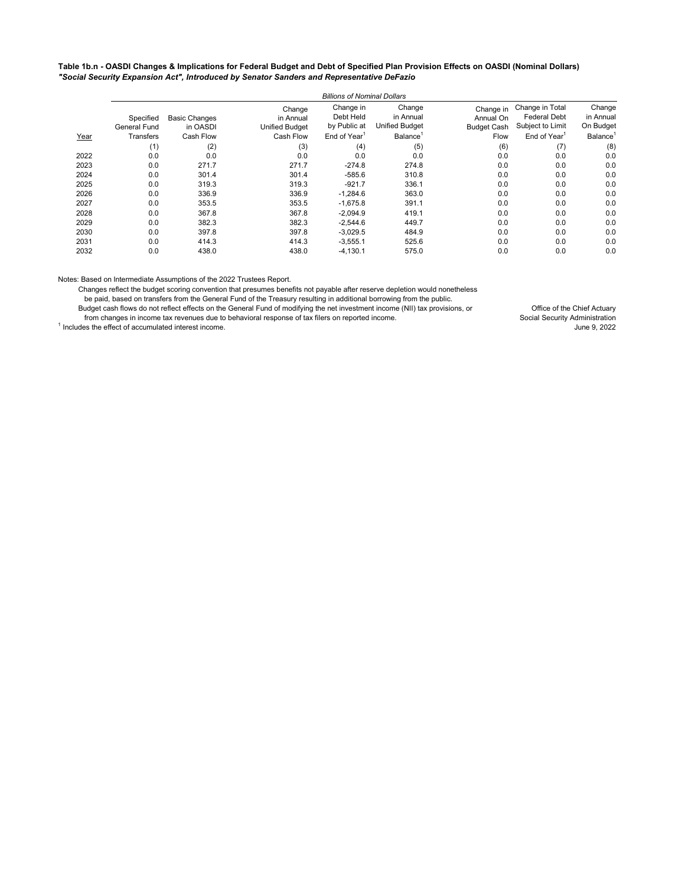**Table 1b.n - OASDI Changes & Implications for Federal Budget and Debt of Specified Plan Provision Effects on OASDI (Nominal Dollars)** *"Social Security Expansion Act", Introduced by Senator Sanders and Representative DeFazio*

|      |                           |                                  |                                              | <b>Billions of Nominal Dollars</b>     |                                              |                                              |                                                            |                                  |
|------|---------------------------|----------------------------------|----------------------------------------------|----------------------------------------|----------------------------------------------|----------------------------------------------|------------------------------------------------------------|----------------------------------|
|      | Specified<br>General Fund | <b>Basic Changes</b><br>in OASDI | Change<br>in Annual<br><b>Unified Budget</b> | Change in<br>Debt Held<br>by Public at | Change<br>in Annual<br><b>Unified Budget</b> | Change in<br>Annual On<br><b>Budget Cash</b> | Change in Total<br><b>Federal Debt</b><br>Subject to Limit | Change<br>in Annual<br>On Budget |
| Year | <b>Transfers</b>          | Cash Flow                        | Cash Flow                                    | End of Year <sup>1</sup>               | Balance <sup>1</sup>                         | Flow                                         | End of Year <sup>1</sup>                                   | Balance <sup>1</sup>             |
|      | (1)                       | (2)                              | (3)                                          | (4)                                    | (5)                                          | (6)                                          | (7)                                                        | (8)                              |
| 2022 | 0.0                       | 0.0                              | 0.0                                          | 0.0                                    | 0.0                                          | 0.0                                          | 0.0                                                        | 0.0                              |
| 2023 | 0.0                       | 271.7                            | 271.7                                        | $-274.8$                               | 274.8                                        | 0.0                                          | 0.0                                                        | 0.0                              |
| 2024 | 0.0                       | 301.4                            | 301.4                                        | $-585.6$                               | 310.8                                        | 0.0                                          | 0.0                                                        | 0.0                              |
| 2025 | 0.0                       | 319.3                            | 319.3                                        | $-921.7$                               | 336.1                                        | 0.0                                          | 0.0                                                        | 0.0                              |
| 2026 | 0.0                       | 336.9                            | 336.9                                        | $-1,284.6$                             | 363.0                                        | 0.0                                          | 0.0                                                        | 0.0                              |
| 2027 | 0.0                       | 353.5                            | 353.5                                        | $-1,675.8$                             | 391.1                                        | 0.0                                          | 0.0                                                        | 0.0                              |
| 2028 | 0.0                       | 367.8                            | 367.8                                        | $-2,094.9$                             | 419.1                                        | 0.0                                          | 0.0                                                        | 0.0                              |
| 2029 | 0.0                       | 382.3                            | 382.3                                        | $-2,544.6$                             | 449.7                                        | 0.0                                          | 0.0                                                        | 0.0                              |
| 2030 | 0.0                       | 397.8                            | 397.8                                        | $-3,029.5$                             | 484.9                                        | 0.0                                          | 0.0                                                        | 0.0                              |
| 2031 | 0.0                       | 414.3                            | 414.3                                        | $-3,555.1$                             | 525.6                                        | 0.0                                          | 0.0                                                        | 0.0                              |
| 2032 | 0.0                       | 438.0                            | 438.0                                        | $-4,130.1$                             | 575.0                                        | 0.0                                          | 0.0                                                        | 0.0                              |

Notes: Based on Intermediate Assumptions of the 2022 Trustees Report.

 Changes reflect the budget scoring convention that presumes benefits not payable after reserve depletion would nonetheless be paid, based on transfers from the General Fund of the Treasury resulting in additional borrowing from the public.

Budget cash flows do not reflect effects on the General Fund of modifying the net investment income (NII) tax provisions, or Office of the Chief Actuary from changes in income tax revenues due to behavioral response of tax filers on reported income.<br>
Social Security Administration

 $^1$  Includes the effect of accumulated interest income.  $\,$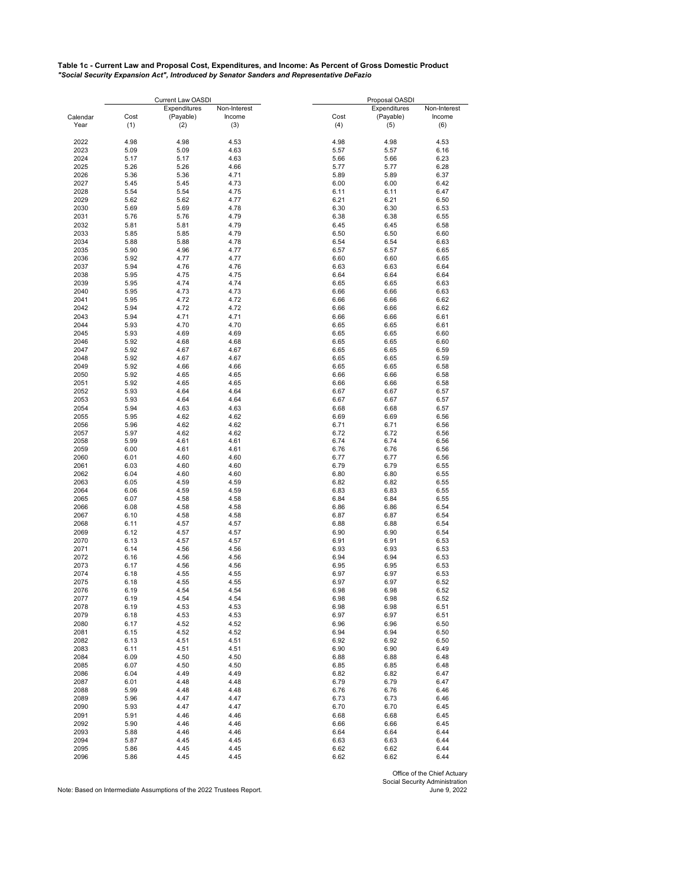**Table 1c - Current Law and Proposal Cost, Expenditures, and Income: As Percent of Gross Domestic Product** *"Social Security Expansion Act", Introduced by Senator Sanders and Representative DeFazio*

|          | <b>Current Law OASDI</b> |              |              |      | Proposal OASDI |              |  |
|----------|--------------------------|--------------|--------------|------|----------------|--------------|--|
|          |                          | Expenditures | Non-Interest |      | Expenditures   | Non-Interest |  |
| Calendar | Cost                     | (Payable)    | Income       | Cost | (Payable)      | Income       |  |
| Year     | (1)                      | (2)          | (3)          | (4)  | (5)            | (6)          |  |
|          |                          |              |              |      |                |              |  |
| 2022     | 4.98                     | 4.98         | 4.53         | 4.98 | 4.98           | 4.53         |  |
| 2023     | 5.09                     | 5.09         | 4.63         | 5.57 | 5.57           | 6.16         |  |
| 2024     | 5.17                     | 5.17         | 4.63         | 5.66 | 5.66           | 6.23         |  |
| 2025     | 5.26                     | 5.26         | 4.66         | 5.77 | 5.77           | 6.28         |  |
| 2026     | 5.36                     | 5.36         | 4.71         | 5.89 | 5.89           | 6.37         |  |
| 2027     | 5.45                     | 5.45         | 4.73         | 6.00 | 6.00           | 6.42         |  |
| 2028     | 5.54                     | 5.54         | 4.75         | 6.11 | 6.11           | 6.47         |  |
| 2029     | 5.62                     | 5.62         | 4.77         | 6.21 | 6.21           | 6.50         |  |
| 2030     | 5.69                     | 5.69         | 4.78         | 6.30 | 6.30           | 6.53         |  |
| 2031     | 5.76                     | 5.76         | 4.79         | 6.38 | 6.38           | 6.55         |  |
| 2032     | 5.81                     | 5.81         | 4.79         | 6.45 | 6.45           | 6.58         |  |
| 2033     | 5.85                     | 5.85         | 4.79         | 6.50 | 6.50           | 6.60         |  |
|          |                          |              |              |      |                |              |  |
| 2034     | 5.88                     | 5.88         | 4.78         | 6.54 | 6.54           | 6.63         |  |
| 2035     | 5.90                     | 4.96         | 4.77         | 6.57 | 6.57           | 6.65         |  |
| 2036     | 5.92                     | 4.77         | 4.77         | 6.60 | 6.60           | 6.65         |  |
| 2037     | 5.94                     | 4.76         | 4.76         | 6.63 | 6.63           | 6.64         |  |
| 2038     | 5.95                     | 4.75         | 4.75         | 6.64 | 6.64           | 6.64         |  |
| 2039     | 5.95                     | 4.74         | 4.74         | 6.65 | 6.65           | 6.63         |  |
| 2040     | 5.95                     | 4.73         | 4.73         | 6.66 | 6.66           | 6.63         |  |
| 2041     | 5.95                     | 4.72         | 4.72         | 6.66 | 6.66           | 6.62         |  |
| 2042     | 5.94                     | 4.72         | 4.72         | 6.66 | 6.66           | 6.62         |  |
| 2043     | 5.94                     | 4.71         | 4.71         | 6.66 | 6.66           | 6.61         |  |
| 2044     | 5.93                     | 4.70         | 4.70         | 6.65 | 6.65           | 6.61         |  |
| 2045     | 5.93                     | 4.69         | 4.69         | 6.65 | 6.65           | 6.60         |  |
| 2046     | 5.92                     | 4.68         | 4.68         | 6.65 | 6.65           | 6.60         |  |
|          |                          |              |              |      |                |              |  |
| 2047     | 5.92                     | 4.67         | 4.67         | 6.65 | 6.65           | 6.59         |  |
| 2048     | 5.92                     | 4.67         | 4.67         | 6.65 | 6.65           | 6.59         |  |
| 2049     | 5.92                     | 4.66         | 4.66         | 6.65 | 6.65           | 6.58         |  |
| 2050     | 5.92                     | 4.65         | 4.65         | 6.66 | 6.66           | 6.58         |  |
| 2051     | 5.92                     | 4.65         | 4.65         | 6.66 | 6.66           | 6.58         |  |
| 2052     | 5.93                     | 4.64         | 4.64         | 6.67 | 6.67           | 6.57         |  |
| 2053     | 5.93                     | 4.64         | 4.64         | 6.67 | 6.67           | 6.57         |  |
| 2054     | 5.94                     | 4.63         | 4.63         | 6.68 | 6.68           | 6.57         |  |
| 2055     | 5.95                     | 4.62         | 4.62         | 6.69 | 6.69           | 6.56         |  |
| 2056     | 5.96                     | 4.62         | 4.62         | 6.71 | 6.71           | 6.56         |  |
| 2057     | 5.97                     | 4.62         | 4.62         | 6.72 | 6.72           | 6.56         |  |
| 2058     | 5.99                     | 4.61         | 4.61         | 6.74 | 6.74           | 6.56         |  |
| 2059     | 6.00                     | 4.61         | 4.61         | 6.76 | 6.76           | 6.56         |  |
| 2060     | 6.01                     | 4.60         | 4.60         | 6.77 | 6.77           | 6.56         |  |
| 2061     | 6.03                     | 4.60         | 4.60         | 6.79 | 6.79           | 6.55         |  |
| 2062     | 6.04                     | 4.60         | 4.60         | 6.80 | 6.80           | 6.55         |  |
| 2063     | 6.05                     | 4.59         | 4.59         | 6.82 | 6.82           | 6.55         |  |
| 2064     | 6.06                     | 4.59         | 4.59         | 6.83 | 6.83           | 6.55         |  |
| 2065     | 6.07                     | 4.58         | 4.58         | 6.84 | 6.84           | 6.55         |  |
|          |                          |              |              |      |                |              |  |
| 2066     | 6.08                     | 4.58         | 4.58         | 6.86 | 6.86           | 6.54         |  |
| 2067     | 6.10                     | 4.58         | 4.58         | 6.87 | 6.87           | 6.54         |  |
| 2068     | 6.11                     | 4.57         | 4.57         | 6.88 | 6.88           | 6.54         |  |
| 2069     | 6.12                     | 4.57         | 4.57         | 6.90 | 6.90           | 6.54         |  |
| 2070     | 6.13                     | 4.57         | 4.57         | 6.91 | 6.91           | 6.53         |  |
| 2071     | 6.14                     | 4.56         | 4.56         | 6.93 | 6.93           | 6.53         |  |
| 2072     | 6.16                     | 4.56         | 4.56         | 6.94 | 6.94           | 6.53         |  |
| 2073     | 6.17                     | 4.56         | 4.56         | 6.95 | 6.95           | 6.53         |  |
| 2074     | 6.18                     | 4.55         | 4.55         | 6.97 | 6.97           | 6.53         |  |
| 2075     | 6.18                     | 4.55         | 4.55         | 6.97 | 6.97           | 6.52         |  |
| 2076     | 6.19                     | 4.54         | 4.54         | 6.98 | 6.98           | 6.52         |  |
| 2077     | 6.19                     | 4.54         | 4.54         | 6.98 | 6.98           | 6.52         |  |
| 2078     | 6.19                     | 4.53         | 4.53         | 6.98 | 6.98           | 6.51         |  |
| 2079     | 6.18                     | 4.53         | 4.53         | 6.97 | 6.97           | 6.51         |  |
| 2080     | 6.17                     | 4.52         | 4.52         | 6.96 | 6.96           | 6.50         |  |
| 2081     | 6.15                     | 4.52         | 4.52         | 6.94 | 6.94           | 6.50         |  |
| 2082     | 6.13                     | 4.51         | 4.51         | 6.92 | 6.92           | 6.50         |  |
| 2083     | 6.11                     | 4.51         | 4.51         | 6.90 | 6.90           | 6.49         |  |
|          |                          |              |              |      |                |              |  |
| 2084     | 6.09                     | 4.50         | 4.50         | 6.88 | 6.88           | 6.48         |  |
| 2085     | 6.07                     | 4.50         | 4.50         | 6.85 | 6.85           | 6.48         |  |
| 2086     | 6.04                     | 4.49         | 4.49         | 6.82 | 6.82           | 6.47         |  |
| 2087     | 6.01                     | 4.48         | 4.48         | 6.79 | 6.79           | 6.47         |  |
| 2088     | 5.99                     | 4.48         | 4.48         | 6.76 | 6.76           | 6.46         |  |
| 2089     | 5.96                     | 4.47         | 4.47         | 6.73 | 6.73           | 6.46         |  |
| 2090     | 5.93                     | 4.47         | 4.47         | 6.70 | 6.70           | 6.45         |  |
| 2091     | 5.91                     | 4.46         | 4.46         | 6.68 | 6.68           | 6.45         |  |
| 2092     | 5.90                     | 4.46         | 4.46         | 6.66 | 6.66           | 6.45         |  |
| 2093     | 5.88                     | 4.46         | 4.46         | 6.64 | 6.64           | 6.44         |  |
| 2094     | 5.87                     | 4.45         | 4.45         | 6.63 | 6.63           | 6.44         |  |
| 2095     | 5.86                     | 4.45         | 4.45         | 6.62 | 6.62           | 6.44         |  |
| 2096     | 5.86                     | 4.45         | 4.45         | 6.62 | 6.62           | 6.44         |  |
|          |                          |              |              |      |                |              |  |

Note: Based on Intermediate Assumptions of the 2022 Trustees Report.

Office of the Chief Actuary Social Security Administration June 9, 2022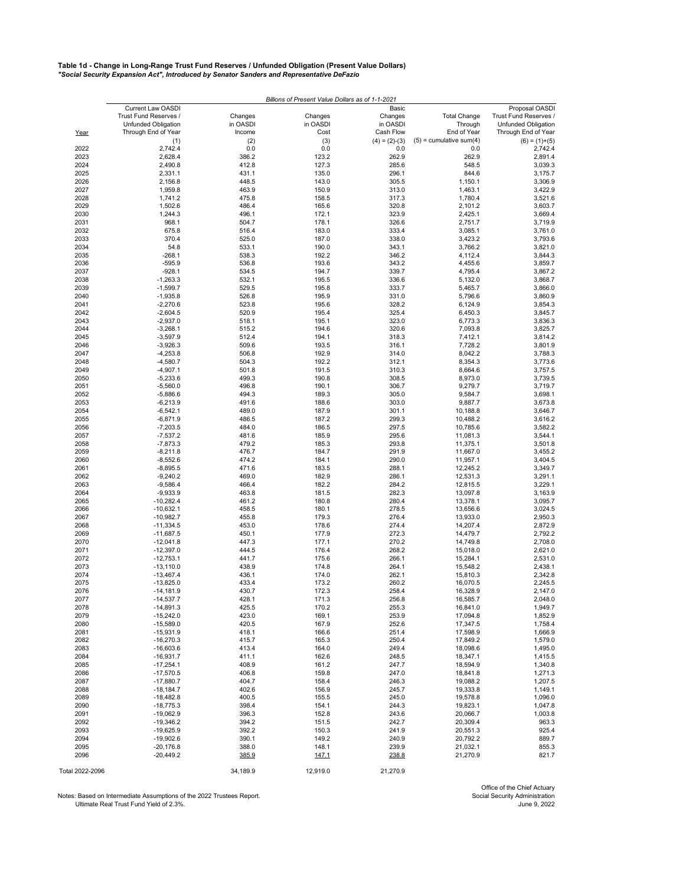**Table 1d - Change in Long-Range Trust Fund Reserves / Unfunded Obligation (Present Value Dollars)** *"Social Security Expansion Act", Introduced by Senator Sanders and Representative DeFazio*

|                 |                            | Billions of Present Value Dollars as of 1-1-2021 |          |                 |                           |                            |
|-----------------|----------------------------|--------------------------------------------------|----------|-----------------|---------------------------|----------------------------|
|                 | <b>Current Law OASDI</b>   |                                                  |          | <b>Basic</b>    |                           | Proposal OASDI             |
|                 | Trust Fund Reserves /      | Changes                                          | Changes  | Changes         | <b>Total Change</b>       | Trust Fund Reserves /      |
|                 | <b>Unfunded Obligation</b> | in OASDI                                         | in OASDI | in OASDI        | Through                   | <b>Unfunded Obligation</b> |
| Year            | Through End of Year        | Income                                           | Cost     | Cash Flow       | End of Year               | Through End of Year        |
|                 | (1)                        | (2)                                              | (3)      | $(4) = (2)-(3)$ | $(5)$ = cumulative sum(4) | $(6) = (1)+(5)$            |
| 2022            | 2,742.4                    | 0.0                                              | 0.0      | 0.0             | 0.0                       | 2,742.4                    |
| 2023            | 2,628.4                    | 386.2                                            | 123.2    | 262.9           | 262.9                     | 2,891.4                    |
| 2024            | 2,490.8                    | 412.8                                            | 127.3    | 285.6           | 548.5                     | 3,039.3                    |
| 2025            | 2,331.1                    | 431.1                                            | 135.0    | 296.1           | 844.6                     | 3,175.7                    |
| 2026            | 2,156.8                    | 448.5                                            | 143.0    | 305.5           | 1,150.1                   | 3,306.9                    |
| 2027            | 1,959.8                    | 463.9                                            | 150.9    | 313.0           | 1,463.1                   | 3,422.9                    |
| 2028            | 1,741.2                    | 475.8                                            | 158.5    | 317.3           | 1,780.4                   | 3,521.6                    |
| 2029            | 1,502.6                    | 486.4                                            | 165.6    | 320.8           | 2,101.2                   | 3,603.7                    |
| 2030            | 1,244.3                    | 496.1                                            | 172.1    | 323.9           | 2,425.1                   | 3,669.4                    |
| 2031            | 968.1                      | 504.7                                            | 178.1    | 326.6           | 2,751.7                   | 3,719.9                    |
| 2032            | 675.8                      | 516.4                                            | 183.0    | 333.4           | 3,085.1                   | 3,761.0                    |
| 2033            | 370.4                      | 525.0                                            | 187.0    | 338.0           | 3,423.2                   | 3,793.6                    |
| 2034            | 54.8                       | 533.1                                            | 190.0    | 343.1           | 3,766.2                   | 3,821.0                    |
| 2035            | $-268.1$                   | 538.3                                            | 192.2    | 346.2           | 4,112.4                   | 3,844.3                    |
| 2036            | $-595.9$                   | 536.8                                            | 193.6    | 343.2           | 4,455.6                   | 3,859.7                    |
| 2037            | $-928.1$                   | 534.5                                            | 194.7    | 339.7           | 4,795.4                   | 3,867.2                    |
| 2038            | $-1,263.3$                 | 532.1                                            | 195.5    | 336.6           | 5,132.0                   | 3,868.7                    |
| 2039            | $-1,599.7$                 | 529.5                                            | 195.8    | 333.7           | 5,465.7                   | 3,866.0                    |
| 2040            | $-1,935.8$                 | 526.8                                            | 195.9    | 331.0           | 5,796.6                   | 3,860.9                    |
| 2041            | $-2,270.6$                 | 523.8                                            | 195.6    | 328.2           | 6,124.9                   | 3,854.3                    |
| 2042            | $-2,604.5$                 | 520.9                                            | 195.4    | 325.4           | 6,450.3                   | 3,845.7                    |
| 2043            | $-2,937.0$                 | 518.1                                            | 195.1    | 323.0           | 6,773.3                   | 3,836.3                    |
| 2044            | $-3,268.1$                 | 515.2                                            | 194.6    | 320.6           | 7,093.8                   | 3,825.7                    |
| 2045            | $-3,597.9$                 | 512.4                                            | 194.1    | 318.3           | 7,412.1                   | 3,814.2                    |
| 2046            | $-3,926.3$                 | 509.6                                            | 193.5    | 316.1           | 7,728.2                   | 3,801.9                    |
| 2047            | $-4,253.8$                 | 506.8                                            | 192.9    | 314.0           | 8,042.2                   | 3,788.3                    |
| 2048            | $-4,580.7$                 | 504.3                                            | 192.2    | 312.1           | 8,354.3                   | 3,773.6                    |
| 2049            | $-4,907.1$                 | 501.8                                            | 191.5    | 310.3           | 8,664.6                   | 3,757.5                    |
| 2050            | $-5,233.6$                 | 499.3                                            | 190.8    | 308.5           | 8,973.0                   | 3,739.5                    |
| 2051            | $-5,560.0$                 | 496.8                                            | 190.1    | 306.7           | 9,279.7                   | 3,719.7                    |
| 2052            | $-5,886.6$                 | 494.3                                            | 189.3    | 305.0           | 9,584.7                   | 3,698.1                    |
| 2053            | $-6,213.9$                 | 491.6                                            | 188.6    | 303.0           | 9,887.7                   | 3,673.8                    |
| 2054            | $-6,542.1$                 | 489.0                                            | 187.9    | 301.1           | 10,188.8                  | 3,646.7                    |
|                 |                            |                                                  |          |                 |                           |                            |
| 2055            | $-6,871.9$                 | 486.5                                            | 187.2    | 299.3           | 10,488.2                  | 3,616.2                    |
| 2056            | $-7,203.5$                 | 484.0                                            | 186.5    | 297.5           | 10,785.6                  | 3,582.2                    |
| 2057            | $-7,537.2$                 | 481.6                                            | 185.9    | 295.6           | 11,081.3                  | 3,544.1                    |
| 2058            | $-7,873.3$                 | 479.2                                            | 185.3    | 293.8           | 11,375.1                  | 3,501.8                    |
| 2059            | $-8,211.8$                 | 476.7                                            | 184.7    | 291.9           | 11,667.0                  | 3,455.2                    |
| 2060            | $-8,552.6$                 | 474.2                                            | 184.1    | 290.0           | 11,957.1                  | 3,404.5                    |
| 2061            | $-8,895.5$                 | 471.6                                            | 183.5    | 288.1           | 12,245.2                  | 3,349.7                    |
| 2062            | $-9,240.2$                 | 469.0                                            | 182.9    | 286.1           | 12,531.3                  | 3,291.1                    |
| 2063            | $-9,586.4$                 | 466.4                                            | 182.2    | 284.2           | 12,815.5                  | 3,229.1                    |
| 2064            | $-9,933.9$                 | 463.8                                            | 181.5    | 282.3           | 13,097.8                  | 3,163.9                    |
| 2065            | $-10,282.4$                | 461.2                                            | 180.8    | 280.4           | 13,378.1                  | 3,095.7                    |
| 2066            | $-10,632.1$                | 458.5                                            | 180.1    | 278.5           | 13,656.6                  | 3,024.5                    |
| 2067            | $-10,982.7$                | 455.8                                            | 179.3    | 276.4           | 13,933.0                  | 2,950.3                    |
| 2068            | $-11,334.5$                | 453.0                                            | 178.6    | 274.4           | 14,207.4                  | 2,872.9                    |
| 2069            | $-11,687.5$                | 450.1                                            | 177.9    | 272.3           | 14,479.7                  | 2,792.2                    |
| 2070            | $-12,041.8$                | 447.3                                            | 177.1    | 270.2           | 14,749.8                  | 2,708.0                    |
| 2071            | $-12,397.0$                | 444.5                                            | 176.4    | 268.2           | 15,018.0                  | 2,621.0                    |
| 2072            | $-12,753.1$                | 441.7                                            | 175.6    | 266.1           | 15,284.1                  | 2,531.0                    |
| 2073            | $-13,110.0$                | 438.9                                            | 174.8    | 264.1           | 15,548.2                  | 2,438.1                    |
| 2074            | $-13,467.4$                | 436.1                                            | 174.0    | 262.1           | 15,810.3                  | 2,342.8                    |
| 2075            | $-13,825.0$                | 433.4                                            | 173.2    | 260.2           | 16,070.5                  | 2,245.5                    |
| 2076            | $-14,181.9$                | 430.7                                            | 172.3    | 258.4           | 16,328.9                  | 2,147.0                    |
| 2077            | $-14,537.7$                | 428.1                                            | 171.3    | 256.8           | 16,585.7                  | 2,048.0                    |
| 2078            | $-14,891.3$                | 425.5                                            | 170.2    | 255.3           | 16,841.0                  | 1,949.7                    |
| 2079            | $-15,242.0$                | 423.0                                            | 169.1    | 253.9           | 17,094.8                  | 1,852.9                    |
| 2080            | $-15,589.0$                | 420.5                                            | 167.9    | 252.6           | 17,347.5                  | 1,758.4                    |
| 2081            | $-15,931.9$                | 418.1                                            | 166.6    | 251.4           | 17,598.9                  | 1,666.9                    |
| 2082            | $-16,270.3$                | 415.7                                            | 165.3    | 250.4           | 17,849.2                  | 1,579.0                    |
| 2083            | $-16,603.6$                | 413.4                                            | 164.0    | 249.4           | 18,098.6                  | 1,495.0                    |
| 2084            | $-16,931.7$                | 411.1                                            | 162.6    | 248.5           | 18,347.1                  | 1,415.5                    |
| 2085            | $-17,254.1$                | 408.9                                            | 161.2    | 247.7           | 18,594.9                  | 1,340.8                    |
| 2086            | $-17,570.5$                | 406.8                                            | 159.8    | 247.0           | 18,841.8                  | 1,271.3                    |
| 2087            | $-17,880.7$                | 404.7                                            | 158.4    | 246.3           | 19,088.2                  | 1,207.5                    |
| 2088            | $-18,184.7$                | 402.6                                            | 156.9    | 245.7           | 19,333.8                  | 1,149.1                    |
| 2089            | $-18,482.8$                | 400.5                                            | 155.5    | 245.0           | 19,578.8                  | 1,096.0                    |
| 2090            | $-18,775.3$                | 398.4                                            | 154.1    | 244.3           | 19,823.1                  | 1,047.8                    |
| 2091            | $-19,062.9$                | 396.3                                            | 152.8    | 243.6           | 20,066.7                  | 1,003.8                    |
| 2092            | $-19,346.2$                | 394.2                                            | 151.5    | 242.7           | 20,309.4                  | 963.3                      |
| 2093            | $-19,625.9$                | 392.2                                            | 150.3    | 241.9           | 20,551.3                  | 925.4                      |
| 2094            | $-19,902.6$                | 390.1                                            | 149.2    | 240.9           | 20,792.2                  | 889.7                      |
| 2095            | $-20,176.8$                | 388.0                                            | 148.1    | 239.9           | 21,032.1                  | 855.3                      |
| 2096            | $-20,449.2$                | 385.9                                            | 147.1    | 238.8           | 21,270.9                  | 821.7                      |
|                 |                            |                                                  |          |                 |                           |                            |
| Total 2022-2096 |                            | 34,189.9                                         | 12,919.0 | 21,270.9        |                           |                            |

Notes: Based on Intermediate Assumptions of the 2022 Trustees Report.<br>Ultimate Real Trust Fund Yield of 2.3%. June 9, 2022 Ultimate Real Trust Fund Yield of 2.3%.

Office of the Chief Actuary